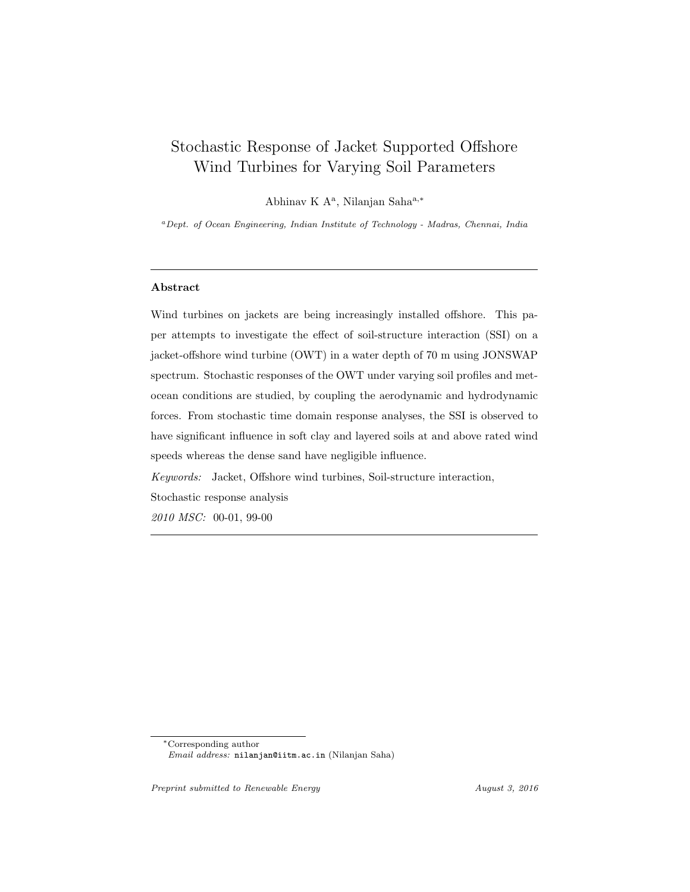# Stochastic Response of Jacket Supported Offshore Wind Turbines for Varying Soil Parameters

Abhinav K A<sup>a</sup>, Nilanjan Saha<sup>a,\*</sup>

<sup>a</sup>Dept. of Ocean Engineering, Indian Institute of Technology - Madras, Chennai, India

# Abstract

Wind turbines on jackets are being increasingly installed offshore. This paper attempts to investigate the effect of soil-structure interaction (SSI) on a jacket-offshore wind turbine (OWT) in a water depth of 70 m using JONSWAP spectrum. Stochastic responses of the OWT under varying soil profiles and metocean conditions are studied, by coupling the aerodynamic and hydrodynamic forces. From stochastic time domain response analyses, the SSI is observed to have significant influence in soft clay and layered soils at and above rated wind speeds whereas the dense sand have negligible influence.

Keywords: Jacket, Offshore wind turbines, Soil-structure interaction, Stochastic response analysis 2010 MSC: 00-01, 99-00

<sup>∗</sup>Corresponding author Email address: nilanjan@iitm.ac.in (Nilanjan Saha)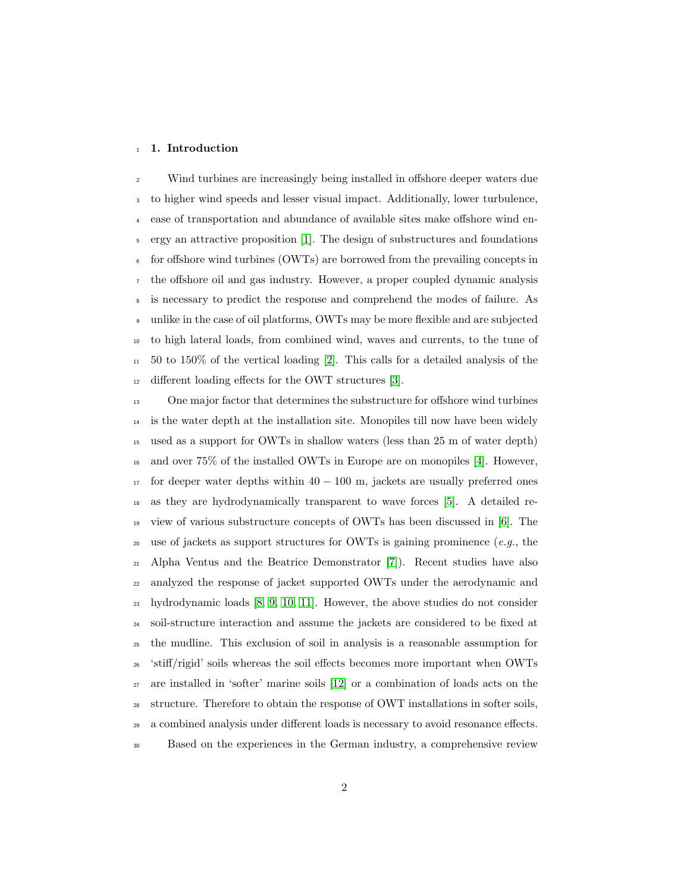#### 1. Introduction

 Wind turbines are increasingly being installed in offshore deeper waters due to higher wind speeds and lesser visual impact. Additionally, lower turbulence, ease of transportation and abundance of available sites make offshore wind en- ergy an attractive proposition [\[1\]](#page-38-0). The design of substructures and foundations for offshore wind turbines (OWTs) are borrowed from the prevailing concepts in the offshore oil and gas industry. However, a proper coupled dynamic analysis is necessary to predict the response and comprehend the modes of failure. As unlike in the case of oil platforms, OWTs may be more flexible and are subjected to high lateral loads, from combined wind, waves and currents, to the tune of  $11 \quad 50$  to 150% of the vertical loading [\[2\]](#page-38-1). This calls for a detailed analysis of the different loading effects for the OWT structures [\[3\]](#page-39-0).

 One major factor that determines the substructure for offshore wind turbines is the water depth at the installation site. Monopiles till now have been widely used as a support for OWTs in shallow waters (less than 25 m of water depth) and over 75% of the installed OWTs in Europe are on monopiles [\[4\]](#page-39-1). However, for deeper water depths within  $40 - 100$  m, jackets are usually preferred ones as they are hydrodynamically transparent to wave forces [\[5\]](#page-39-2). A detailed re- view of various substructure concepts of OWTs has been discussed in [\[6\]](#page-39-3). The 20 use of jackets as support structures for OWTs is gaining prominence (e.g., the Alpha Ventus and the Beatrice Demonstrator [\[7\]](#page-39-4)). Recent studies have also analyzed the response of jacket supported OWTs under the aerodynamic and hydrodynamic loads [\[8,](#page-39-5) [9,](#page-39-6) [10,](#page-39-7) [11\]](#page-40-0). However, the above studies do not consider soil-structure interaction and assume the jackets are considered to be fixed at the mudline. This exclusion of soil in analysis is a reasonable assumption for 'stiff/rigid' soils whereas the soil effects becomes more important when OWTs are installed in 'softer' marine soils [\[12\]](#page-40-1) or a combination of loads acts on the structure. Therefore to obtain the response of OWT installations in softer soils, a combined analysis under different loads is necessary to avoid resonance effects. Based on the experiences in the German industry, a comprehensive review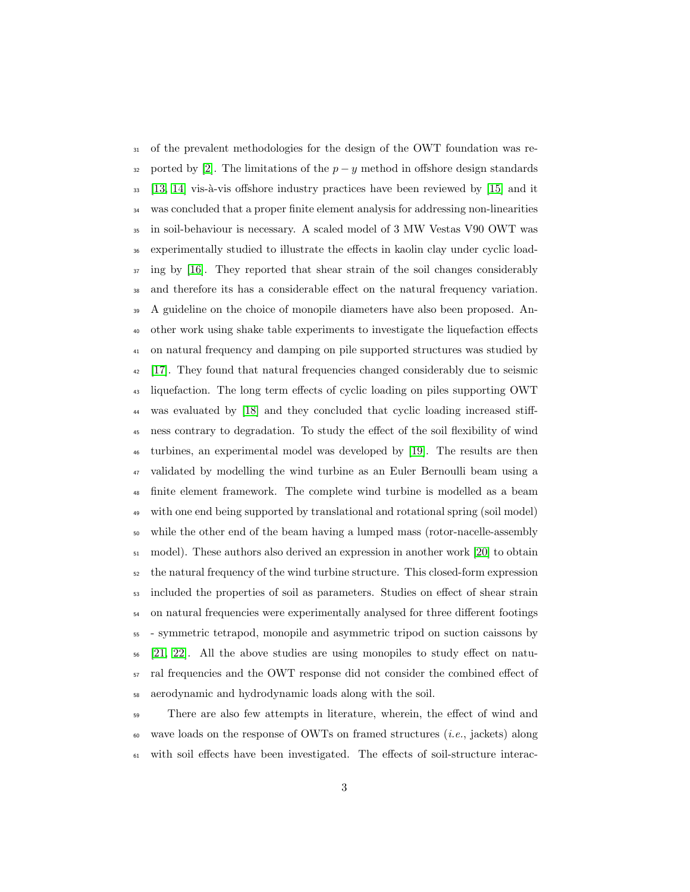of the prevalent methodologies for the design of the OWT foundation was re-32 ported by [\[2\]](#page-38-1). The limitations of the  $p - y$  method in offshore design standards [\[13,](#page-40-2) [14\]](#page-40-3) vis-à-vis offshore industry practices have been reviewed by [\[15\]](#page-40-4) and it was concluded that a proper finite element analysis for addressing non-linearities in soil-behaviour is necessary. A scaled model of 3 MW Vestas V90 OWT was experimentally studied to illustrate the effects in kaolin clay under cyclic load-<sup>37</sup> ing by [\[16\]](#page-40-5). They reported that shear strain of the soil changes considerably and therefore its has a considerable effect on the natural frequency variation. A guideline on the choice of monopile diameters have also been proposed. An- other work using shake table experiments to investigate the liquefaction effects on natural frequency and damping on pile supported structures was studied by [\[17\]](#page-40-6). They found that natural frequencies changed considerably due to seismic liquefaction. The long term effects of cyclic loading on piles supporting OWT was evaluated by [\[18\]](#page-40-7) and they concluded that cyclic loading increased stiff- ness contrary to degradation. To study the effect of the soil flexibility of wind turbines, an experimental model was developed by [\[19\]](#page-40-8). The results are then validated by modelling the wind turbine as an Euler Bernoulli beam using a finite element framework. The complete wind turbine is modelled as a beam with one end being supported by translational and rotational spring (soil model) while the other end of the beam having a lumped mass (rotor-nacelle-assembly model). These authors also derived an expression in another work [\[20\]](#page-41-0) to obtain the natural frequency of the wind turbine structure. This closed-form expression included the properties of soil as parameters. Studies on effect of shear strain on natural frequencies were experimentally analysed for three different footings - symmetric tetrapod, monopile and asymmetric tripod on suction caissons by [\[21,](#page-41-1) [22\]](#page-41-2). All the above studies are using monopiles to study effect on natu- ral frequencies and the OWT response did not consider the combined effect of aerodynamic and hydrodynamic loads along with the soil.

 There are also few attempts in literature, wherein, the effect of wind and  $\omega$  wave loads on the response of OWTs on framed structures (*i.e.*, jackets) along with soil effects have been investigated. The effects of soil-structure interac-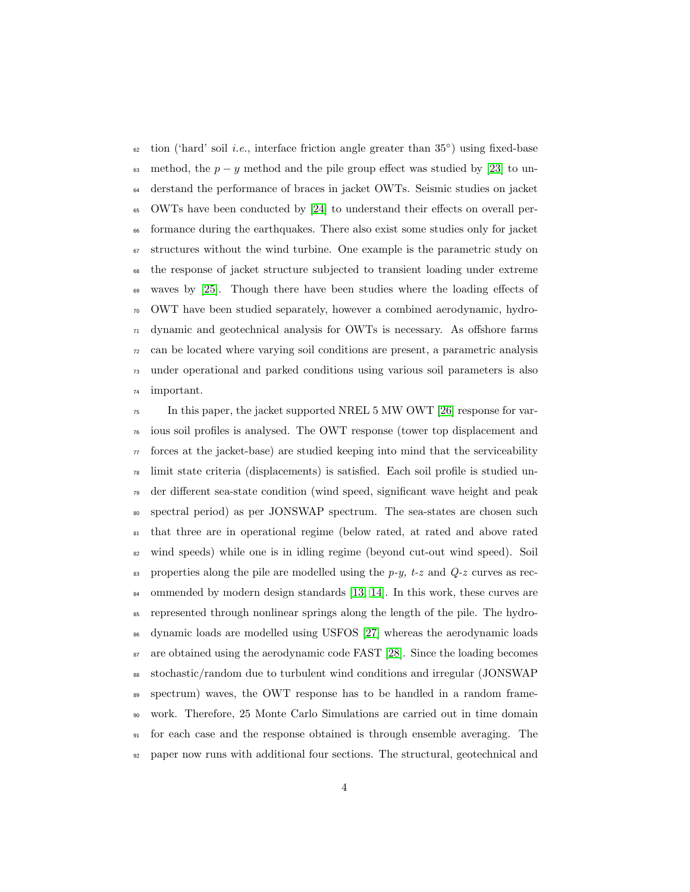$\epsilon_2$  tion ('hard' soil *i.e.*, interface friction angle greater than 35°) using fixed-base 63 method, the  $p - y$  method and the pile group effect was studied by [\[23\]](#page-41-3) to un- derstand the performance of braces in jacket OWTs. Seismic studies on jacket OWTs have been conducted by [\[24\]](#page-41-4) to understand their effects on overall per- formance during the earthquakes. There also exist some studies only for jacket structures without the wind turbine. One example is the parametric study on the response of jacket structure subjected to transient loading under extreme waves by [\[25\]](#page-41-5). Though there have been studies where the loading effects of OWT have been studied separately, however a combined aerodynamic, hydro- dynamic and geotechnical analysis for OWTs is necessary. As offshore farms can be located where varying soil conditions are present, a parametric analysis under operational and parked conditions using various soil parameters is also important.

 $\tau$ <sub>75</sub> In this paper, the jacket supported NREL 5 MW OWT [\[26\]](#page-41-6) response for var- ious soil profiles is analysed. The OWT response (tower top displacement and  $\tau$  forces at the jacket-base) are studied keeping into mind that the serviceability limit state criteria (displacements) is satisfied. Each soil profile is studied un- der different sea-state condition (wind speed, significant wave height and peak spectral period) as per JONSWAP spectrum. The sea-states are chosen such that three are in operational regime (below rated, at rated and above rated wind speeds) while one is in idling regime (beyond cut-out wind speed). Soil <sup>83</sup> properties along the pile are modelled using the p-y, t-z and  $Q$ -z curves as rec-<sup>84</sup> ommended by modern design standards [\[13,](#page-40-2) [14\]](#page-40-3). In this work, these curves are represented through nonlinear springs along the length of the pile. The hydro- dynamic loads are modelled using USFOS [\[27\]](#page-41-7) whereas the aerodynamic loads are obtained using the aerodynamic code FAST [\[28\]](#page-41-8). Since the loading becomes stochastic/random due to turbulent wind conditions and irregular (JONSWAP spectrum) waves, the OWT response has to be handled in a random frame- work. Therefore, 25 Monte Carlo Simulations are carried out in time domain for each case and the response obtained is through ensemble averaging. The paper now runs with additional four sections. The structural, geotechnical and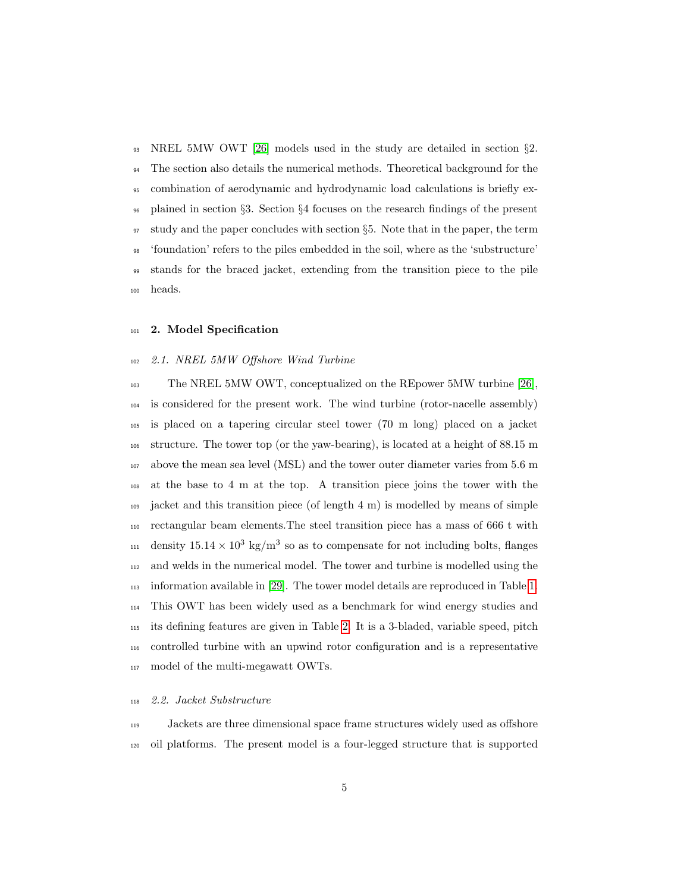NREL 5MW OWT [\[26\]](#page-41-6) models used in the study are detailed in section §2. <sup>94</sup> The section also details the numerical methods. Theoretical background for the combination of aerodynamic and hydrodynamic load calculations is briefly ex- plained in section §3. Section §4 focuses on the research findings of the present study and the paper concludes with section §5. Note that in the paper, the term 'foundation' refers to the piles embedded in the soil, where as the 'substructure' stands for the braced jacket, extending from the transition piece to the pile heads.

#### 2. Model Specification

#### 2.1. NREL 5MW Offshore Wind Turbine

 The NREL 5MW OWT, conceptualized on the REpower 5MW turbine [\[26\]](#page-41-6), is considered for the present work. The wind turbine (rotor-nacelle assembly) is placed on a tapering circular steel tower (70 m long) placed on a jacket structure. The tower top (or the yaw-bearing), is located at a height of 88.15 m above the mean sea level (MSL) and the tower outer diameter varies from 5.6 m at the base to 4 m at the top. A transition piece joins the tower with the jacket and this transition piece (of length 4 m) is modelled by means of simple rectangular beam elements.The steel transition piece has a mass of 666 t with <sup>111</sup> density  $15.14 \times 10^3$  kg/m<sup>3</sup> so as to compensate for not including bolts, flanges and welds in the numerical model. The tower and turbine is modelled using the information available in [\[29\]](#page-42-0). The tower model details are reproduced in Table [1.](#page-5-0) This OWT has been widely used as a benchmark for wind energy studies and its defining features are given in Table [2.](#page-5-1) It is a 3-bladed, variable speed, pitch controlled turbine with an upwind rotor configuration and is a representative model of the multi-megawatt OWTs.

#### 2.2. Jacket Substructure

 Jackets are three dimensional space frame structures widely used as offshore oil platforms. The present model is a four-legged structure that is supported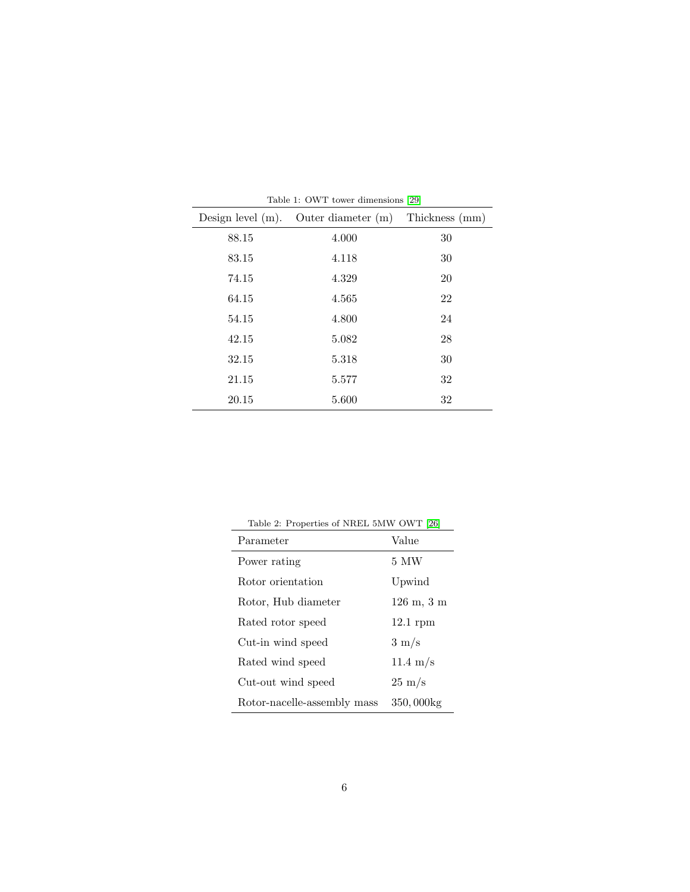| Design level $(m)$ . | Outer diameter $(m)$ | Thickness (mm) |
|----------------------|----------------------|----------------|
| 88.15                | 4.000                | 30             |
| 83.15                | 4.118                | 30             |
| 74.15                | 4.329                | 20             |
| 64.15                | 4.565                | 22             |
| 54.15                | 4.800                | 24             |
| 42.15                | 5.082                | 28             |
| 32.15                | 5.318                | 30             |
| 21.15                | 5.577                | 32             |
| 20.15                | 5.600                | 32             |

<span id="page-5-0"></span>Table 1: OWT tower dimensions [\[29\]](#page-42-0)

<span id="page-5-1"></span>

| Table 2: Properties of NREL 5MW OWT [26] |                                         |
|------------------------------------------|-----------------------------------------|
| Parameter                                | Value                                   |
| Power rating                             | 5 MW                                    |
| Rotor orientation                        | Upwind                                  |
| Rotor, Hub diameter                      | $126 \; \mathrm{m}, \; 3 \; \mathrm{m}$ |
| Rated rotor speed                        | $12.1$ rpm                              |
| Cut-in wind speed                        | $3 \text{ m/s}$                         |
| Rated wind speed                         | $11.4 \text{ m/s}$                      |
| Cut-out wind speed                       | $25 \text{ m/s}$                        |
| Rotor-nacelle-assembly mass              | 350,000kg                               |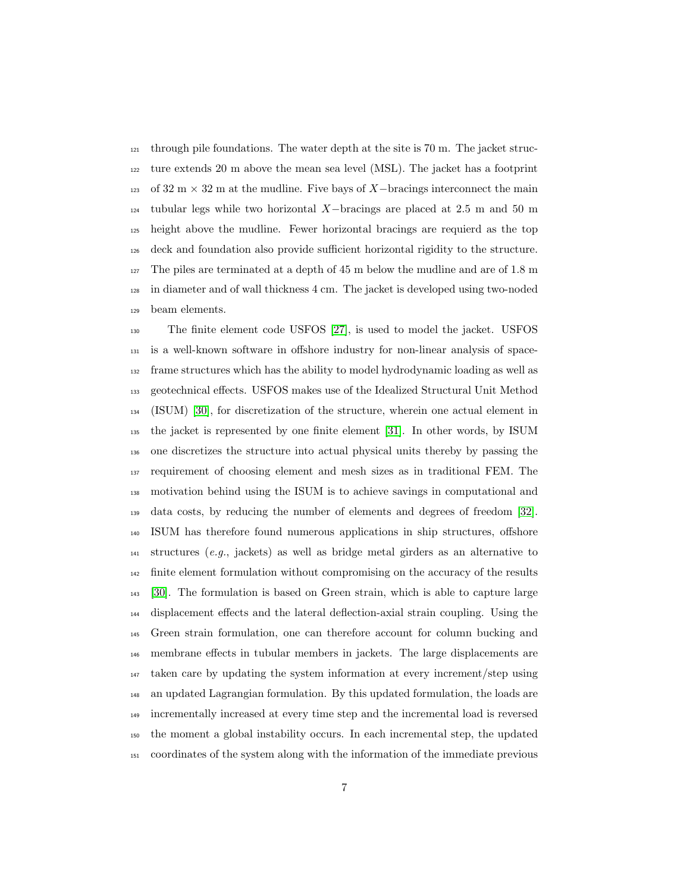through pile foundations. The water depth at the site is 70 m. The jacket struc- ture extends 20 m above the mean sea level (MSL). The jacket has a footprint 123 of  $32 \text{ m} \times 32 \text{ m}$  at the mudline. Five bays of X−bracings interconnect the main tubular legs while two horizontal X-bracings are placed at 2.5 m and 50 m height above the mudline. Fewer horizontal bracings are requierd as the top deck and foundation also provide sufficient horizontal rigidity to the structure. The piles are terminated at a depth of 45 m below the mudline and are of 1.8 m in diameter and of wall thickness 4 cm. The jacket is developed using two-noded beam elements.

 The finite element code USFOS [\[27\]](#page-41-7), is used to model the jacket. USFOS is a well-known software in offshore industry for non-linear analysis of space- frame structures which has the ability to model hydrodynamic loading as well as geotechnical effects. USFOS makes use of the Idealized Structural Unit Method (ISUM) [\[30\]](#page-42-1), for discretization of the structure, wherein one actual element in the jacket is represented by one finite element [\[31\]](#page-42-2). In other words, by ISUM one discretizes the structure into actual physical units thereby by passing the requirement of choosing element and mesh sizes as in traditional FEM. The motivation behind using the ISUM is to achieve savings in computational and data costs, by reducing the number of elements and degrees of freedom [\[32\]](#page-42-3). ISUM has therefore found numerous applications in ship structures, offshore structures (e.g., jackets) as well as bridge metal girders as an alternative to finite element formulation without compromising on the accuracy of the results [\[30\]](#page-42-1). The formulation is based on Green strain, which is able to capture large displacement effects and the lateral deflection-axial strain coupling. Using the Green strain formulation, one can therefore account for column bucking and membrane effects in tubular members in jackets. The large displacements are taken care by updating the system information at every increment/step using an updated Lagrangian formulation. By this updated formulation, the loads are incrementally increased at every time step and the incremental load is reversed the moment a global instability occurs. In each incremental step, the updated coordinates of the system along with the information of the immediate previous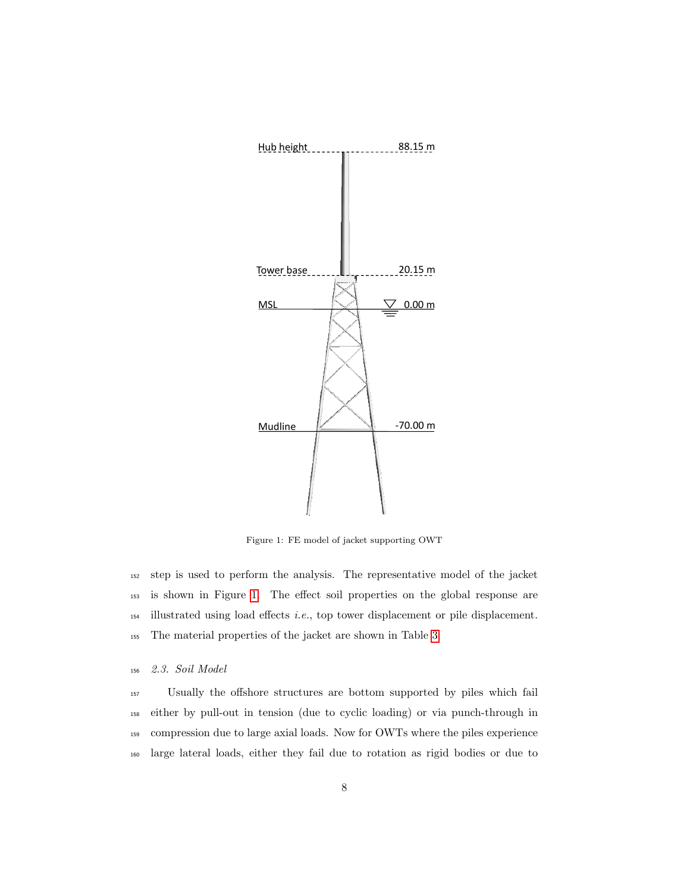

<span id="page-7-0"></span>Figure 1: FE model of jacket supporting OWT

 step is used to perform the analysis. The representative model of the jacket is shown in Figure [1.](#page-7-0) The effect soil properties on the global response are illustrated using load effects i.e., top tower displacement or pile displacement. The material properties of the jacket are shown in Table [3.](#page-8-0)

<sup>156</sup> 2.3. Soil Model

 Usually the offshore structures are bottom supported by piles which fail either by pull-out in tension (due to cyclic loading) or via punch-through in compression due to large axial loads. Now for OWTs where the piles experience large lateral loads, either they fail due to rotation as rigid bodies or due to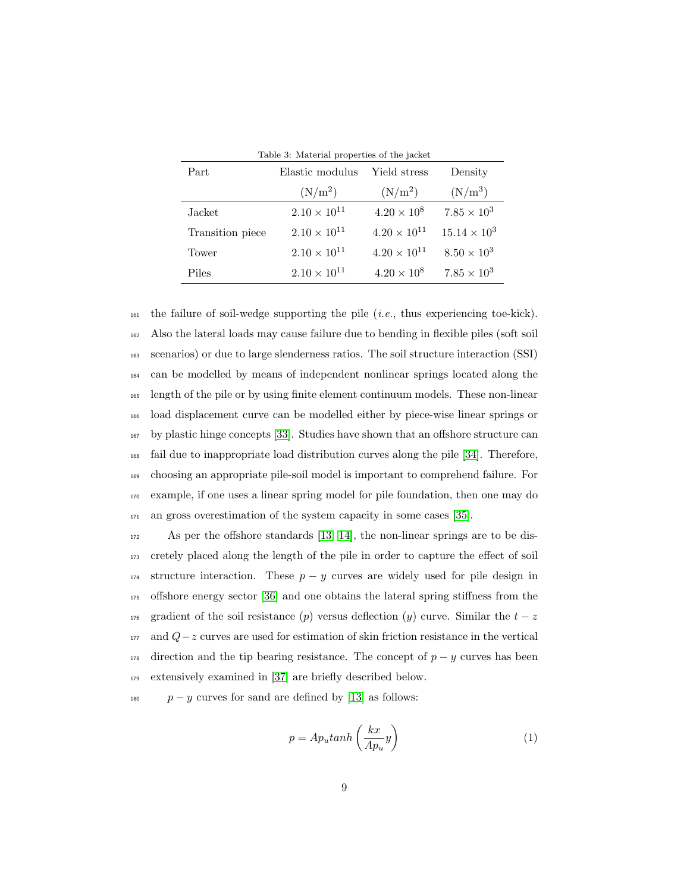<span id="page-8-0"></span>

| Table 3. Material properties of the jacket |                       |                       |                       |  |  |
|--------------------------------------------|-----------------------|-----------------------|-----------------------|--|--|
| Part                                       | Elastic modulus       | Density               |                       |  |  |
|                                            | $(N/m^2)$             | $(N/m^2)$             | $(N/m^3)$             |  |  |
| Jacket                                     | $2.10 \times 10^{11}$ | $4.20 \times 10^8$    | $7.85 \times 10^3$    |  |  |
| Transition piece                           | $2.10 \times 10^{11}$ | $4.20 \times 10^{11}$ | $15.14 \times 10^{3}$ |  |  |
| Tower                                      | $2.10 \times 10^{11}$ | $4.20 \times 10^{11}$ | $8.50 \times 10^{3}$  |  |  |
| Piles                                      | $2.10 \times 10^{11}$ | $4.20 \times 10^{8}$  | $7.85 \times 10^{3}$  |  |  |

 $_{161}$  the failure of soil-wedge supporting the pile (*i.e.*, thus experiencing toe-kick). Also the lateral loads may cause failure due to bending in flexible piles (soft soil scenarios) or due to large slenderness ratios. The soil structure interaction (SSI) can be modelled by means of independent nonlinear springs located along the length of the pile or by using finite element continuum models. These non-linear load displacement curve can be modelled either by piece-wise linear springs or by plastic hinge concepts [\[33\]](#page-42-4). Studies have shown that an offshore structure can fail due to inappropriate load distribution curves along the pile [\[34\]](#page-42-5). Therefore, choosing an appropriate pile-soil model is important to comprehend failure. For example, if one uses a linear spring model for pile foundation, then one may do an gross overestimation of the system capacity in some cases [\[35\]](#page-42-6).

 As per the offshore standards [\[13,](#page-40-2) [14\]](#page-40-3), the non-linear springs are to be dis- cretely placed along the length of the pile in order to capture the effect of soil 174 structure interaction. These  $p - y$  curves are widely used for pile design in offshore energy sector [\[36\]](#page-42-7) and one obtains the lateral spring stiffness from the 176 gradient of the soil resistance (p) versus deflection (y) curve. Similar the  $t - z$  and  $Q-z$  curves are used for estimation of skin friction resistance in the vertical 178 direction and the tip bearing resistance. The concept of  $p - y$  curves has been extensively examined in [\[37\]](#page-42-8) are briefly described below.

<sup>180</sup> 
$$
p - y
$$
 curves for sand are defined by [13] as follows:

$$
p = Aputanh\left(\frac{kx}{Ap_u}y\right) \tag{1}
$$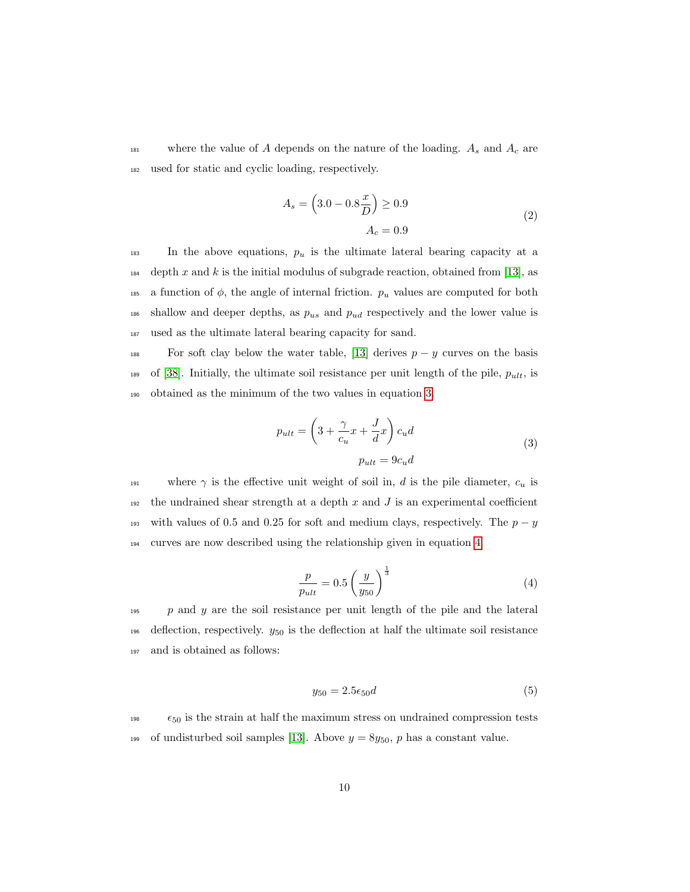<sup>181</sup> where the value of A depends on the nature of the loading.  $A_s$  and  $A_c$  are <sup>182</sup> used for static and cyclic loading, respectively.

$$
A_s = \left(3.0 - 0.8\frac{x}{D}\right) \ge 0.9
$$
  

$$
A_c = 0.9
$$
 (2)

 $183$  In the above equations,  $p_u$  is the ultimate lateral bearing capacity at a  $_{184}$  depth x and k is the initial modulus of subgrade reaction, obtained from [\[13\]](#page-40-2), as 185 a function of  $\phi$ , the angle of internal friction.  $p_u$  values are computed for both  $_{186}$  shallow and deeper depths, as  $p_{us}$  and  $p_{ud}$  respectively and the lower value is <sup>187</sup> used as the ultimate lateral bearing capacity for sand.

<span id="page-9-0"></span>188 For soft clay below the water table, [\[13\]](#page-40-2) derives  $p - y$  curves on the basis 189 of [\[38\]](#page-43-0). Initially, the ultimate soil resistance per unit length of the pile,  $p_{ult}$ , is <sup>190</sup> obtained as the minimum of the two values in equation [3.](#page-9-0)

$$
p_{ult} = \left(3 + \frac{\gamma}{c_u}x + \frac{J}{d}x\right)c_u d
$$
  

$$
p_{ult} = 9c_u d
$$
 (3)

191 where  $\gamma$  is the effective unit weight of soil in, d is the pile diameter,  $c_u$  is <sup>192</sup> the undrained shear strength at a depth  $x$  and  $J$  is an experimental coefficient 193 with values of 0.5 and 0.25 for soft and medium clays, respectively. The  $p - y$ <sup>194</sup> curves are now described using the relationship given in equation [4.](#page-9-1)

$$
\frac{p}{p_{ult}} = 0.5 \left(\frac{y}{y_{50}}\right)^{\frac{1}{3}}
$$
 (4)

<span id="page-9-1"></span> $p \text{ and } y$  are the soil resistance per unit length of the pile and the lateral 196 deflection, respectively.  $y_{50}$  is the deflection at half the ultimate soil resistance <sup>197</sup> and is obtained as follows:

$$
y_{50} = 2.5\epsilon_{50}d\tag{5}
$$

 $\epsilon_{50}$  is the strain at half the maximum stress on undrained compression tests 199 of undisturbed soil samples [\[13\]](#page-40-2). Above  $y = 8y_{50}$ , p has a constant value.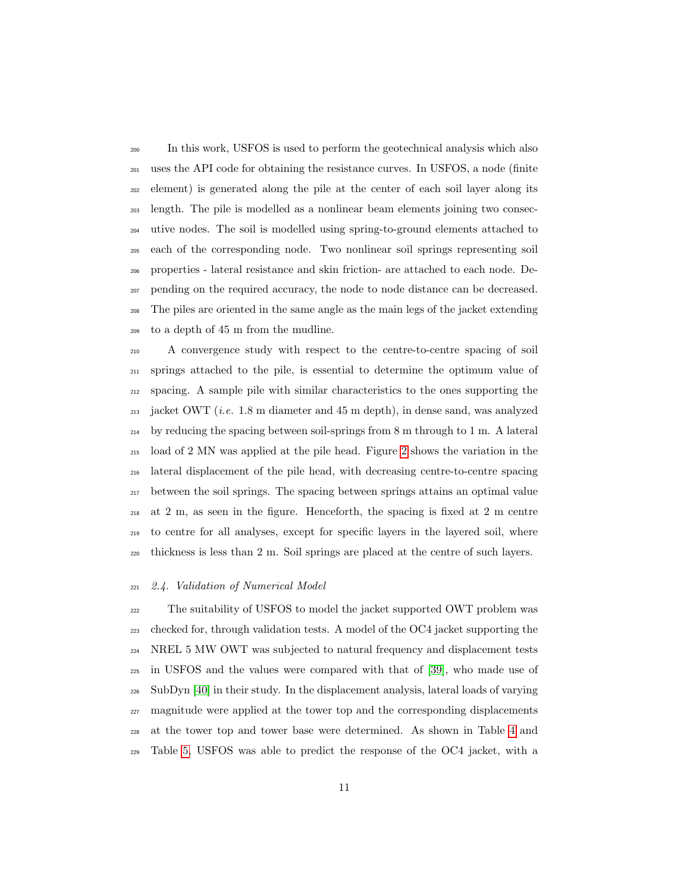In this work, USFOS is used to perform the geotechnical analysis which also uses the API code for obtaining the resistance curves. In USFOS, a node (finite element) is generated along the pile at the center of each soil layer along its length. The pile is modelled as a nonlinear beam elements joining two consec- utive nodes. The soil is modelled using spring-to-ground elements attached to each of the corresponding node. Two nonlinear soil springs representing soil properties - lateral resistance and skin friction- are attached to each node. De- pending on the required accuracy, the node to node distance can be decreased. The piles are oriented in the same angle as the main legs of the jacket extending to a depth of 45 m from the mudline.

 A convergence study with respect to the centre-to-centre spacing of soil springs attached to the pile, is essential to determine the optimum value of spacing. A sample pile with similar characteristics to the ones supporting the  $_{213}$  jacket OWT (*i.e.* 1.8 m diameter and 45 m depth), in dense sand, was analyzed by reducing the spacing between soil-springs from 8 m through to 1 m. A lateral load of 2 MN was applied at the pile head. Figure [2](#page-11-0) shows the variation in the lateral displacement of the pile head, with decreasing centre-to-centre spacing between the soil springs. The spacing between springs attains an optimal value at 2 m, as seen in the figure. Henceforth, the spacing is fixed at 2 m centre to centre for all analyses, except for specific layers in the layered soil, where thickness is less than 2 m. Soil springs are placed at the centre of such layers.

#### 2.4. Validation of Numerical Model

 The suitability of USFOS to model the jacket supported OWT problem was checked for, through validation tests. A model of the OC4 jacket supporting the NREL 5 MW OWT was subjected to natural frequency and displacement tests in USFOS and the values were compared with that of [\[39\]](#page-43-1), who made use of SubDyn [\[40\]](#page-43-2) in their study. In the displacement analysis, lateral loads of varying magnitude were applied at the tower top and the corresponding displacements at the tower top and tower base were determined. As shown in Table [4](#page-11-1) and Table [5,](#page-12-0) USFOS was able to predict the response of the OC4 jacket, with a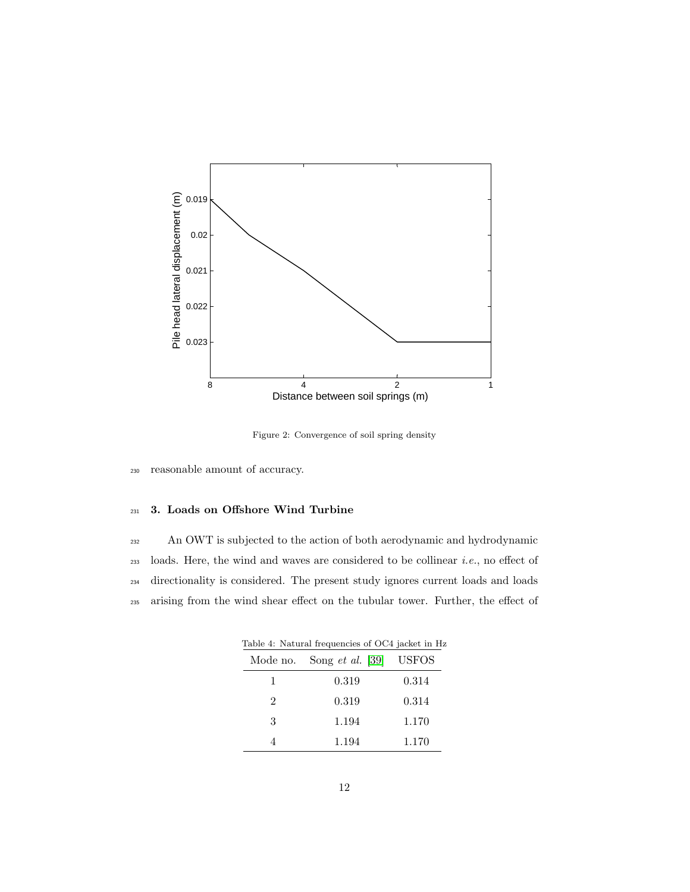

<span id="page-11-0"></span>Figure 2: Convergence of soil spring density

<sup>230</sup> reasonable amount of accuracy.

# <sup>231</sup> 3. Loads on Offshore Wind Turbine

232 An OWT is subjected to the action of both aerodynamic and hydrodynamic loads. Here, the wind and waves are considered to be collinear *i.e.*, no effect of directionality is considered. The present study ignores current loads and loads arising from the wind shear effect on the tubular tower. Further, the effect of

<span id="page-11-1"></span>

| Table 4: Natural frequencies of OC4 jacket in H |                    |              |  |  |  |  |
|-------------------------------------------------|--------------------|--------------|--|--|--|--|
| Mode no.                                        | Song $et$ al. [39] | <b>USFOS</b> |  |  |  |  |
| 1                                               | 0.319              | 0.314        |  |  |  |  |
| $\overline{2}$                                  | 0.319              | 0.314        |  |  |  |  |
| 3                                               | 1.194              | 1.170        |  |  |  |  |
|                                                 | 1.194              | 1.170        |  |  |  |  |
|                                                 |                    |              |  |  |  |  |

Table 4: Natural frequencies of OC4 jacket in Hz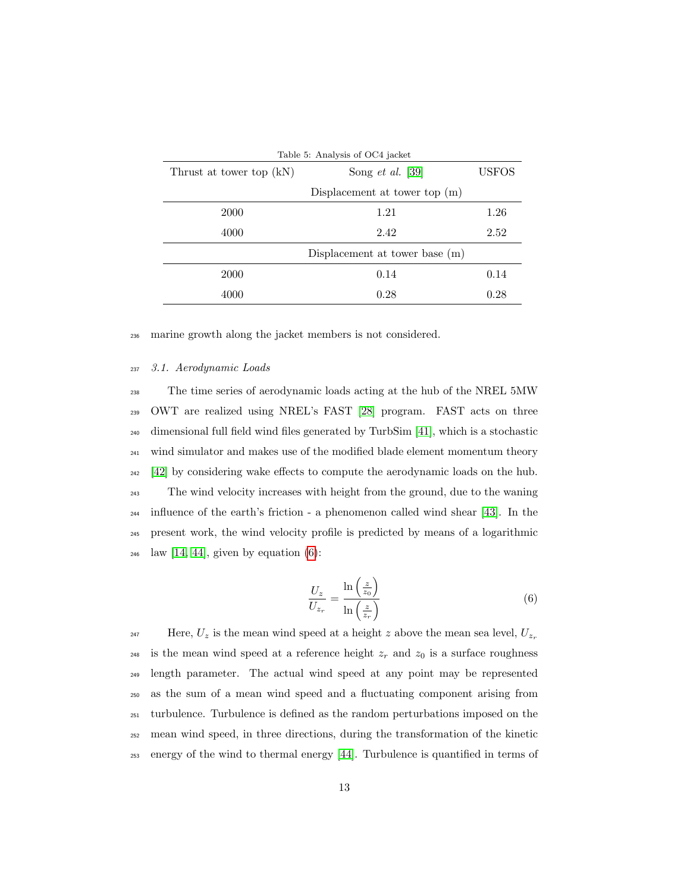<span id="page-12-0"></span>

| Table 5: Analysis of OC4 jacket |                                 |              |  |  |
|---------------------------------|---------------------------------|--------------|--|--|
| Thrust at tower top (kN)        | Song <i>et al.</i> [39]         | <b>USFOS</b> |  |  |
|                                 | Displacement at tower top $(m)$ |              |  |  |
| 2000                            | 1.21                            | 1.26         |  |  |
| 4000                            | 2.42                            | 2.52         |  |  |
|                                 | Displacement at tower base (m)  |              |  |  |
| 2000                            | 0.14                            | 0.14         |  |  |
| 4000                            | 0.28                            | 0.28         |  |  |

<sup>236</sup> marine growth along the jacket members is not considered.

#### <sup>237</sup> 3.1. Aerodynamic Loads

 The time series of aerodynamic loads acting at the hub of the NREL 5MW OWT are realized using NREL's FAST [\[28\]](#page-41-8) program. FAST acts on three dimensional full field wind files generated by TurbSim [\[41\]](#page-43-3), which is a stochastic <sup>241</sup> wind simulator and makes use of the modified blade element momentum theory [\[42\]](#page-43-4) by considering wake effects to compute the aerodynamic loads on the hub. The wind velocity increases with height from the ground, due to the waning influence of the earth's friction - a phenomenon called wind shear [\[43\]](#page-43-5). In the present work, the wind velocity profile is predicted by means of a logarithmic law [\[14,](#page-40-3) [44\]](#page-43-6), given by equation [\(6\)](#page-12-1):

$$
\frac{U_z}{U_{z_r}} = \frac{\ln\left(\frac{z}{z_0}\right)}{\ln\left(\frac{z}{z_r}\right)}\tag{6}
$$

<span id="page-12-1"></span>Here,  $U_z$  is the mean wind speed at a height  $z$  above the mean sea level,  $U_{z_r}$ 247 <sup>248</sup> is the mean wind speed at a reference height  $z_r$  and  $z_0$  is a surface roughness length parameter. The actual wind speed at any point may be represented as the sum of a mean wind speed and a fluctuating component arising from turbulence. Turbulence is defined as the random perturbations imposed on the mean wind speed, in three directions, during the transformation of the kinetic energy of the wind to thermal energy [\[44\]](#page-43-6). Turbulence is quantified in terms of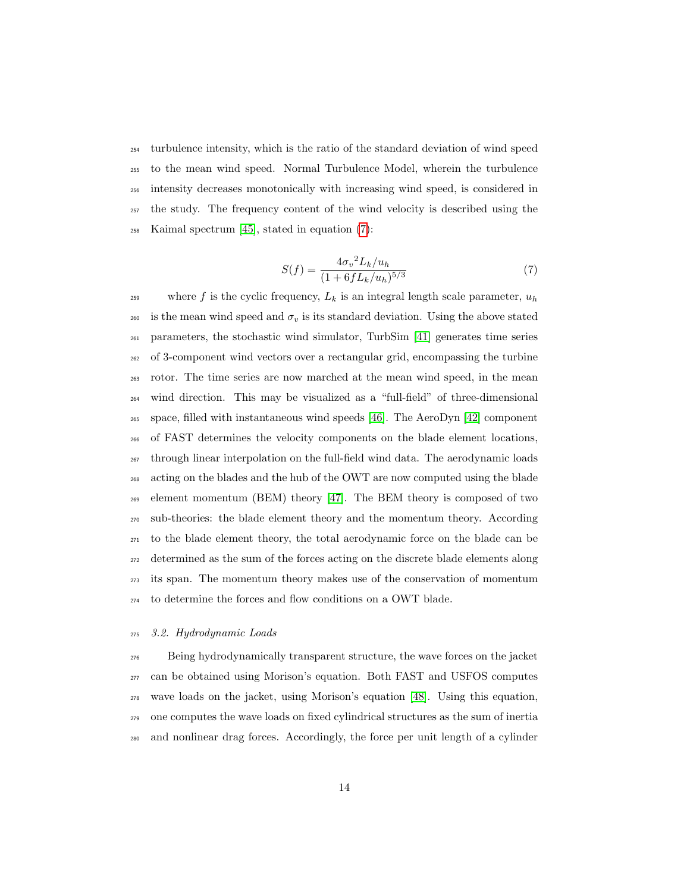turbulence intensity, which is the ratio of the standard deviation of wind speed to the mean wind speed. Normal Turbulence Model, wherein the turbulence intensity decreases monotonically with increasing wind speed, is considered in the study. The frequency content of the wind velocity is described using the Kaimal spectrum [\[45\]](#page-43-7), stated in equation [\(7\)](#page-13-0):

$$
S(f) = \frac{4\sigma_v^2 L_k / u_h}{(1 + 6f L_k / u_h)^{5/3}}
$$
\n(7)

<span id="page-13-0"></span><sup>259</sup> where f is the cyclic frequency,  $L_k$  is an integral length scale parameter,  $u_h$ <sup>260</sup> is the mean wind speed and  $\sigma_v$  is its standard deviation. Using the above stated parameters, the stochastic wind simulator, TurbSim [\[41\]](#page-43-3) generates time series of 3-component wind vectors over a rectangular grid, encompassing the turbine rotor. The time series are now marched at the mean wind speed, in the mean wind direction. This may be visualized as a "full-field" of three-dimensional space, filled with instantaneous wind speeds [\[46\]](#page-43-8). The AeroDyn [\[42\]](#page-43-4) component of FAST determines the velocity components on the blade element locations, through linear interpolation on the full-field wind data. The aerodynamic loads acting on the blades and the hub of the OWT are now computed using the blade element momentum (BEM) theory [\[47\]](#page-43-9). The BEM theory is composed of two sub-theories: the blade element theory and the momentum theory. According to the blade element theory, the total aerodynamic force on the blade can be determined as the sum of the forces acting on the discrete blade elements along its span. The momentum theory makes use of the conservation of momentum to determine the forces and flow conditions on a OWT blade.

#### 3.2. Hydrodynamic Loads

 Being hydrodynamically transparent structure, the wave forces on the jacket can be obtained using Morison's equation. Both FAST and USFOS computes wave loads on the jacket, using Morison's equation [\[48\]](#page-43-10). Using this equation, one computes the wave loads on fixed cylindrical structures as the sum of inertia and nonlinear drag forces. Accordingly, the force per unit length of a cylinder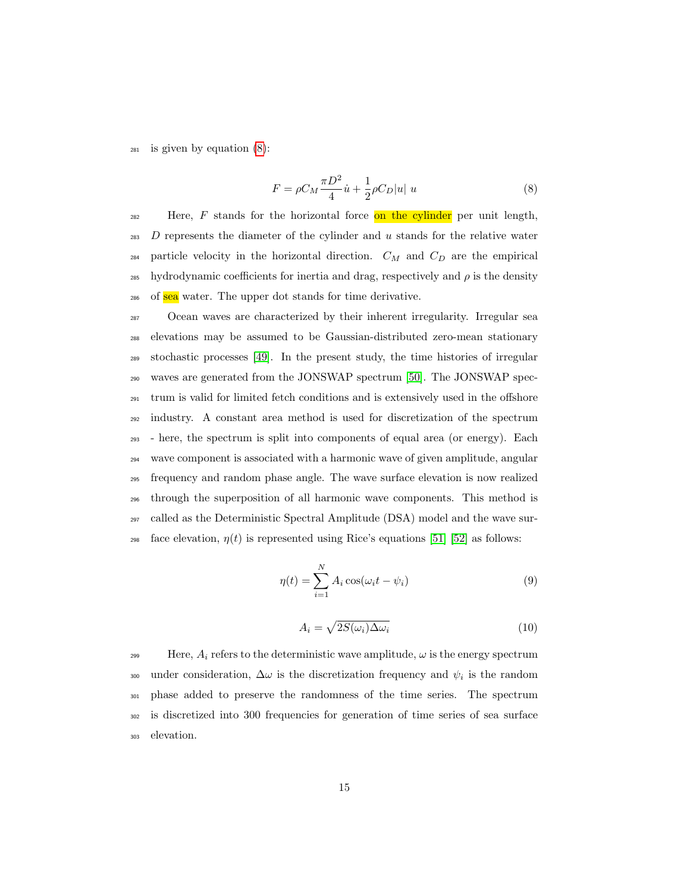<span id="page-14-0"></span>is given by equation  $(8)$ :

$$
F = \rho C_M \frac{\pi D^2}{4} \dot{u} + \frac{1}{2} \rho C_D |u| u \tag{8}
$$

 Here, F stands for the horizontal force on the cylinder per unit length, D represents the diameter of the cylinder and u stands for the relative water 284 particle velocity in the horizontal direction.  $C_M$  and  $C_D$  are the empirical hydrodynamic coefficients for inertia and drag, respectively and  $ρ$  is the density 286 of **sea** water. The upper dot stands for time derivative.

 Ocean waves are characterized by their inherent irregularity. Irregular sea elevations may be assumed to be Gaussian-distributed zero-mean stationary stochastic processes [\[49\]](#page-44-0). In the present study, the time histories of irregular waves are generated from the JONSWAP spectrum [\[50\]](#page-44-1). The JONSWAP spec- trum is valid for limited fetch conditions and is extensively used in the offshore industry. A constant area method is used for discretization of the spectrum - here, the spectrum is split into components of equal area (or energy). Each wave component is associated with a harmonic wave of given amplitude, angular frequency and random phase angle. The wave surface elevation is now realized through the superposition of all harmonic wave components. This method is called as the Deterministic Spectral Amplitude (DSA) model and the wave sur-<sup>298</sup> face elevation,  $\eta(t)$  is represented using Rice's equations [\[51\]](#page-44-2) [\[52\]](#page-44-3) as follows:

$$
\eta(t) = \sum_{i=1}^{N} A_i \cos(\omega_i t - \psi_i)
$$
\n(9)

$$
A_i = \sqrt{2S(\omega_i)\Delta\omega_i} \tag{10}
$$

<span id="page-14-1"></span> Here,  $A_i$  refers to the deterministic wave amplitude,  $\omega$  is the energy spectrum 300 under consideration,  $\Delta\omega$  is the discretization frequency and  $\psi_i$  is the random phase added to preserve the randomness of the time series. The spectrum is discretized into 300 frequencies for generation of time series of sea surface elevation.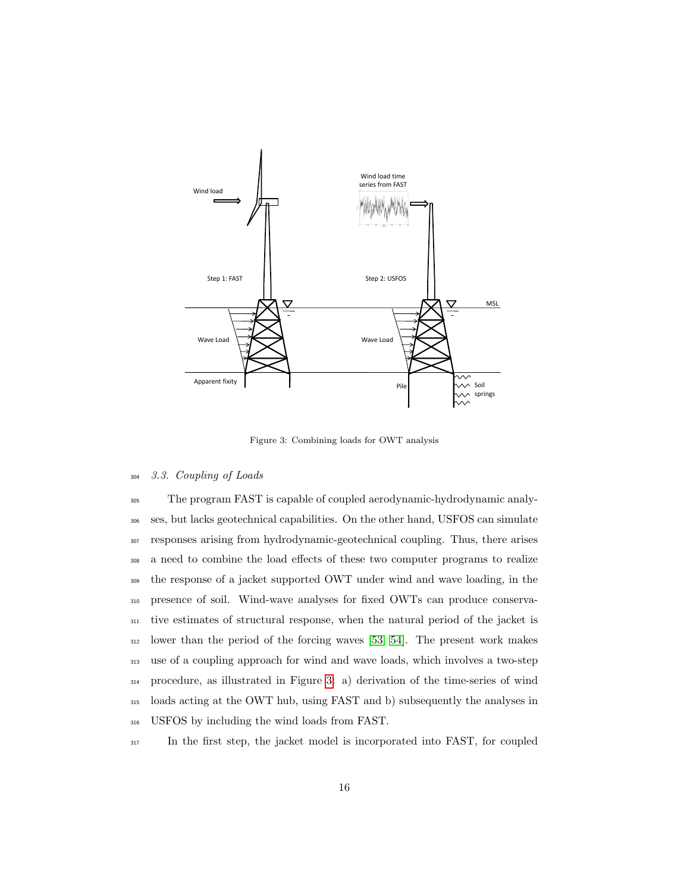

<span id="page-15-0"></span>Figure 3: Combining loads for OWT analysis

# <sup>304</sup> 3.3. Coupling of Loads

 The program FAST is capable of coupled aerodynamic-hydrodynamic analy- ses, but lacks geotechnical capabilities. On the other hand, USFOS can simulate responses arising from hydrodynamic-geotechnical coupling. Thus, there arises a need to combine the load effects of these two computer programs to realize the response of a jacket supported OWT under wind and wave loading, in the presence of soil. Wind-wave analyses for fixed OWTs can produce conserva- tive estimates of structural response, when the natural period of the jacket is lower than the period of the forcing waves [\[53,](#page-44-4) [54\]](#page-44-5). The present work makes use of a coupling approach for wind and wave loads, which involves a two-step procedure, as illustrated in Figure [3:](#page-15-0) a) derivation of the time-series of wind loads acting at the OWT hub, using FAST and b) subsequently the analyses in USFOS by including the wind loads from FAST.

<sup>317</sup> In the first step, the jacket model is incorporated into FAST, for coupled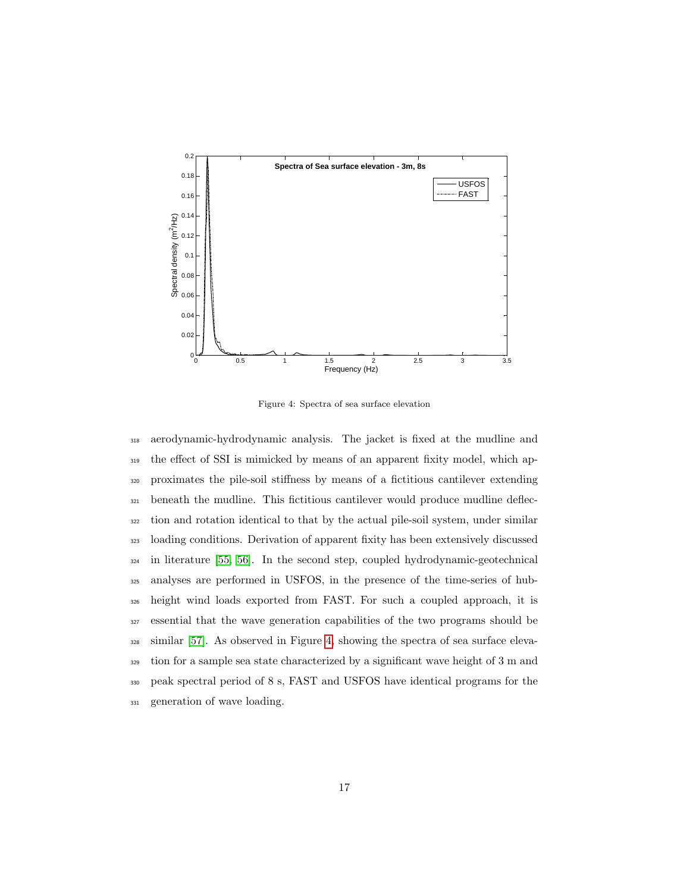

<span id="page-16-0"></span>Figure 4: Spectra of sea surface elevation

 aerodynamic-hydrodynamic analysis. The jacket is fixed at the mudline and the effect of SSI is mimicked by means of an apparent fixity model, which ap- proximates the pile-soil stiffness by means of a fictitious cantilever extending beneath the mudline. This fictitious cantilever would produce mudline deflec- tion and rotation identical to that by the actual pile-soil system, under similar loading conditions. Derivation of apparent fixity has been extensively discussed in literature [\[55,](#page-44-6) [56\]](#page-44-7). In the second step, coupled hydrodynamic-geotechnical analyses are performed in USFOS, in the presence of the time-series of hub- height wind loads exported from FAST. For such a coupled approach, it is essential that the wave generation capabilities of the two programs should be similar [\[57\]](#page-44-8). As observed in Figure [4,](#page-16-0) showing the spectra of sea surface eleva- tion for a sample sea state characterized by a significant wave height of 3 m and peak spectral period of 8 s, FAST and USFOS have identical programs for the generation of wave loading.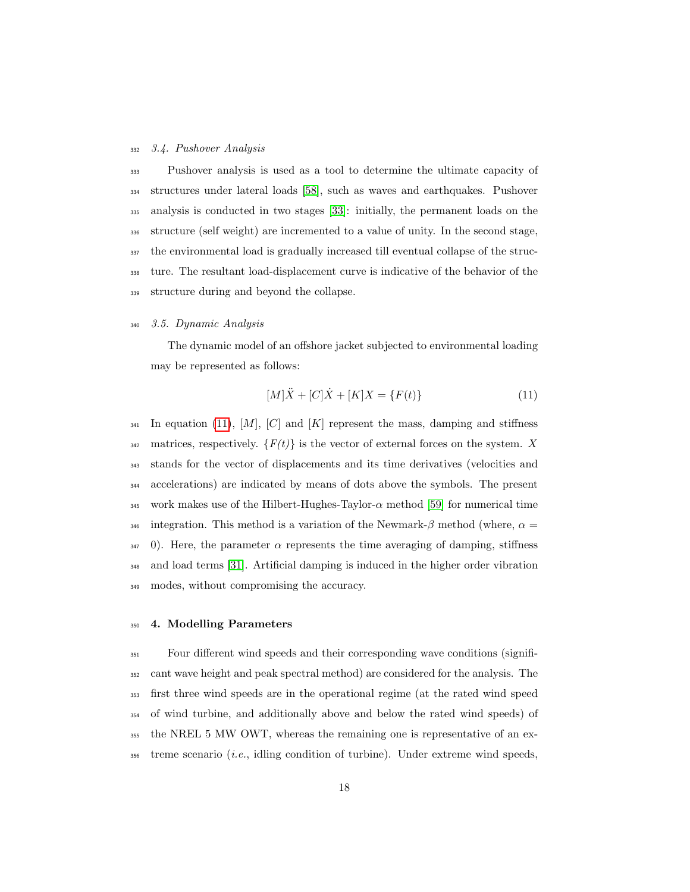#### 3.4. Pushover Analysis

 Pushover analysis is used as a tool to determine the ultimate capacity of structures under lateral loads [\[58\]](#page-45-0), such as waves and earthquakes. Pushover analysis is conducted in two stages [\[33\]](#page-42-4): initially, the permanent loads on the structure (self weight) are incremented to a value of unity. In the second stage, the environmental load is gradually increased till eventual collapse of the struc- ture. The resultant load-displacement curve is indicative of the behavior of the structure during and beyond the collapse.

#### 3.5. Dynamic Analysis

The dynamic model of an offshore jacket subjected to environmental loading may be represented as follows:

<span id="page-17-0"></span>
$$
[M]\ddot{X} + [C]\dot{X} + [K]X = \{F(t)\}\tag{11}
$$

 $_{341}$  In equation [\(11\)](#page-17-0), [M], [C] and [K] represent the mass, damping and stiffness 342 matrices, respectively.  $\{F(t)\}\$ is the vector of external forces on the system. X stands for the vector of displacements and its time derivatives (velocities and accelerations) are indicated by means of dots above the symbols. The present 345 work makes use of the Hilbert-Hughes-Taylor- $\alpha$  method [\[59\]](#page-45-1) for numerical time 346 integration. This method is a variation of the Newmark- $\beta$  method (where,  $\alpha =$  0). Here, the parameter  $\alpha$  represents the time averaging of damping, stiffness and load terms [\[31\]](#page-42-2). Artificial damping is induced in the higher order vibration modes, without compromising the accuracy.

#### 4. Modelling Parameters

 Four different wind speeds and their corresponding wave conditions (signifi- cant wave height and peak spectral method) are considered for the analysis. The first three wind speeds are in the operational regime (at the rated wind speed of wind turbine, and additionally above and below the rated wind speeds) of the NREL 5 MW OWT, whereas the remaining one is representative of an ex-treme scenario (*i.e.*, idling condition of turbine). Under extreme wind speeds,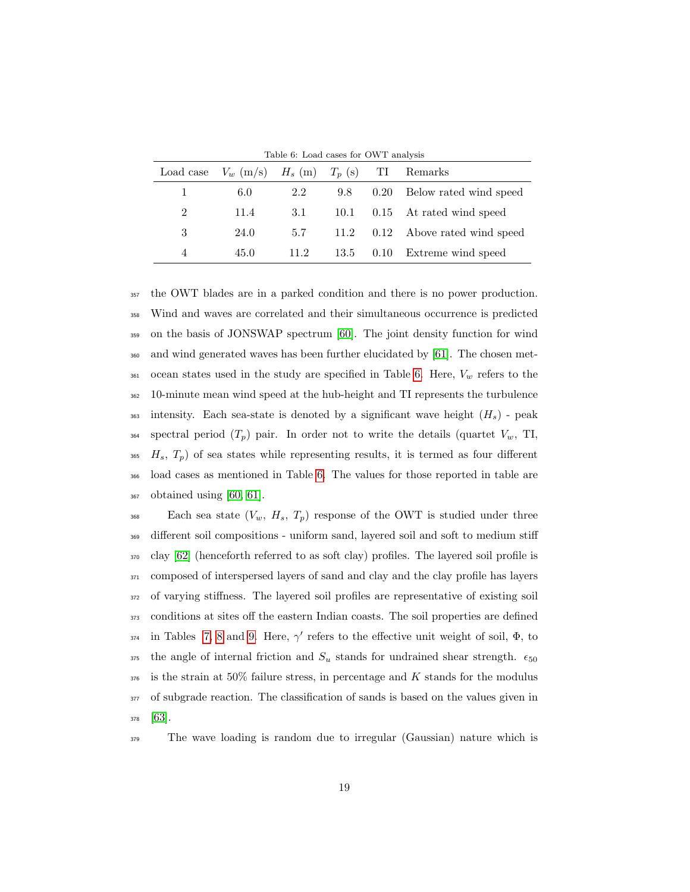|           | Lable 0. Load cases for OW 1 analysis |      |      |          |                               |  |  |
|-----------|---------------------------------------|------|------|----------|-------------------------------|--|--|
| Load case | $V_w$ (m/s) $H_s$ (m) $T_p$ (s)       |      |      | -TT      | Remarks                       |  |  |
|           | 6.0                                   | 2.2  | 9.8  | $0.20\,$ | Below rated wind speed        |  |  |
| 2         | 11.4                                  | 3.1  |      |          | 10.1 0.15 At rated wind speed |  |  |
| 3         | 24.0                                  | 5.7  | 11.2 |          | 0.12 Above rated wind speed   |  |  |
| 4         | 45.0                                  | 11.2 | 13.5 |          | 0.10 Extreme wind speed       |  |  |

<span id="page-18-0"></span>Table 6: Load cases for OWT analysis

 the OWT blades are in a parked condition and there is no power production. Wind and waves are correlated and their simultaneous occurrence is predicted on the basis of JONSWAP spectrum [\[60\]](#page-45-2). The joint density function for wind and wind generated waves has been further elucidated by [\[61\]](#page-45-3). The chosen met- ocean states used in the study are specified in Table [6.](#page-18-0) Here,  $V_w$  refers to the 10-minute mean wind speed at the hub-height and TI represents the turbulence 363 intensity. Each sea-state is denoted by a significant wave height  $(H_s)$  - peak 364 spectral period  $(T_p)$  pair. In order not to write the details (quartet  $V_w$ , TI,  $H_s$ ,  $T_p$ ) of sea states while representing results, it is termed as four different load cases as mentioned in Table [6.](#page-18-0) The values for those reported in table are obtained using [\[60,](#page-45-2) [61\]](#page-45-3).

 $\text{Each sea state } (V_w, H_s, T_p) \text{ response of the OWT is studied under three.}$  different soil compositions - uniform sand, layered soil and soft to medium stiff clay [\[62\]](#page-45-4) (henceforth referred to as soft clay) profiles. The layered soil profile is composed of interspersed layers of sand and clay and the clay profile has layers of varying stiffness. The layered soil profiles are representative of existing soil conditions at sites off the eastern Indian coasts. The soil properties are defined 374 in Tables [7,](#page-19-0) [8](#page-19-1) and [9.](#page-19-2) Here,  $\gamma'$  refers to the effective unit weight of soil,  $\Phi$ , to 375 the angle of internal friction and  $S_u$  stands for undrained shear strength.  $\epsilon_{50}$  is the strain at 50% failure stress, in percentage and K stands for the modulus of subgrade reaction. The classification of sands is based on the values given in <sup>378</sup> [\[63\]](#page-45-5).

<sup>379</sup> The wave loading is random due to irregular (Gaussian) nature which is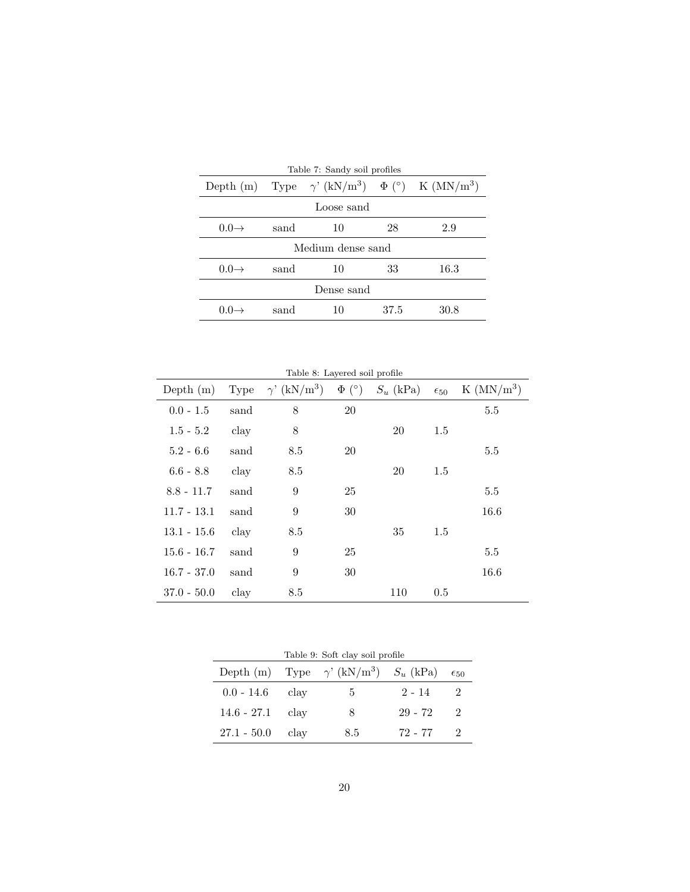<span id="page-19-0"></span>

| Table 7: Sandy soil profiles |            |                                                                                 |      |      |  |  |
|------------------------------|------------|---------------------------------------------------------------------------------|------|------|--|--|
|                              |            | Depth (m) Type $\gamma'$ (kN/m <sup>3</sup> ) $\Phi$ (°) K (MN/m <sup>3</sup> ) |      |      |  |  |
|                              | Loose sand |                                                                                 |      |      |  |  |
| $0.0 \rightarrow$            | sand       | 10                                                                              | 28   | 2.9  |  |  |
| Medium dense sand            |            |                                                                                 |      |      |  |  |
| $0.0 \rightarrow$            | sand       | 10                                                                              | 33   | 16.3 |  |  |
| Dense sand                   |            |                                                                                 |      |      |  |  |
| 0 O                          | sand       | 10                                                                              | 37.5 | 30.8 |  |  |

<span id="page-19-1"></span>

|  |  | Table 8: Layered soil profile |  |  |
|--|--|-------------------------------|--|--|
|--|--|-------------------------------|--|--|

| Depth $(m)$   | Type           | $\gamma'$ (kN/m <sup>3</sup> ) | $\Phi$ (°) | $S_u$ (kPa) | $\epsilon_{50}$ | $K$ (MN/m <sup>3</sup> ) |
|---------------|----------------|--------------------------------|------------|-------------|-----------------|--------------------------|
| $0.0 - 1.5$   | sand           | 8                              | <b>20</b>  |             |                 | 5.5                      |
| $1.5 - 5.2$   | clay           | 8                              |            | 20          | 1.5             |                          |
| $5.2 - 6.6$   | sand           | 8.5                            | 20         |             |                 | 5.5                      |
| $6.6 - 8.8$   | $_{\rm{clay}}$ | 8.5                            |            | <b>20</b>   | 1.5             |                          |
| $8.8 - 11.7$  | sand           | 9                              | 25         |             |                 | 5.5                      |
| $11.7 - 13.1$ | sand           | 9                              | 30         |             |                 | 16.6                     |
| $13.1 - 15.6$ | clay           | 8.5                            |            | 35          | 1.5             |                          |
| $15.6 - 16.7$ | sand           | 9                              | 25         |             |                 | 5.5                      |
| $16.7 - 37.0$ | sand           | 9                              | 30         |             |                 | 16.6                     |
| $37.0 - 50.0$ | clay           | 8.5                            |            | 110         | 0.5             |                          |

<span id="page-19-2"></span>

| Table 9: Soft clay soil profile |      |                                                            |          |                             |  |  |
|---------------------------------|------|------------------------------------------------------------|----------|-----------------------------|--|--|
|                                 |      | Depth (m) Type $\gamma$ ' (kN/m <sup>3</sup> ) $S_u$ (kPa) |          | $\epsilon_{50}$             |  |  |
| $0.0$ - $14.6$                  | clay | $\mathbf b$                                                | $2 - 14$ |                             |  |  |
| $14.6 - 27.1$                   | clav | 8                                                          | 29 - 72  | $\mathcal{D}_{\mathcal{L}}$ |  |  |
| $27.1 - 50.0$                   | clay | 8.5                                                        | 72 - 77  |                             |  |  |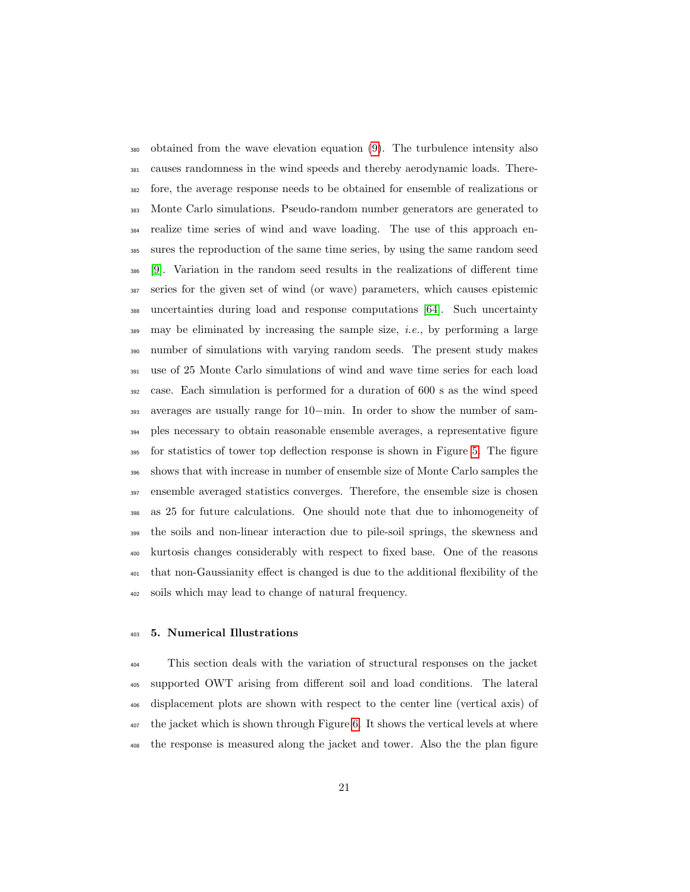obtained from the wave elevation equation [\(9\)](#page-14-1). The turbulence intensity also causes randomness in the wind speeds and thereby aerodynamic loads. There- fore, the average response needs to be obtained for ensemble of realizations or Monte Carlo simulations. Pseudo-random number generators are generated to realize time series of wind and wave loading. The use of this approach en- sures the reproduction of the same time series, by using the same random seed [\[9\]](#page-39-6). Variation in the random seed results in the realizations of different time series for the given set of wind (or wave) parameters, which causes epistemic uncertainties during load and response computations [\[64\]](#page-45-6). Such uncertainty  $\frac{389}{100}$  may be eliminated by increasing the sample size, *i.e.*, by performing a large number of simulations with varying random seeds. The present study makes use of 25 Monte Carlo simulations of wind and wave time series for each load case. Each simulation is performed for a duration of 600 s as the wind speed averages are usually range for 10−min. In order to show the number of sam- ples necessary to obtain reasonable ensemble averages, a representative figure for statistics of tower top deflection response is shown in Figure [5.](#page-21-0) The figure shows that with increase in number of ensemble size of Monte Carlo samples the ensemble averaged statistics converges. Therefore, the ensemble size is chosen as 25 for future calculations. One should note that due to inhomogeneity of the soils and non-linear interaction due to pile-soil springs, the skewness and kurtosis changes considerably with respect to fixed base. One of the reasons that non-Gaussianity effect is changed is due to the additional flexibility of the soils which may lead to change of natural frequency.

#### 5. Numerical Illustrations

 This section deals with the variation of structural responses on the jacket supported OWT arising from different soil and load conditions. The lateral displacement plots are shown with respect to the center line (vertical axis) of the jacket which is shown through Figure [6.](#page-22-0) It shows the vertical levels at where the response is measured along the jacket and tower. Also the the plan figure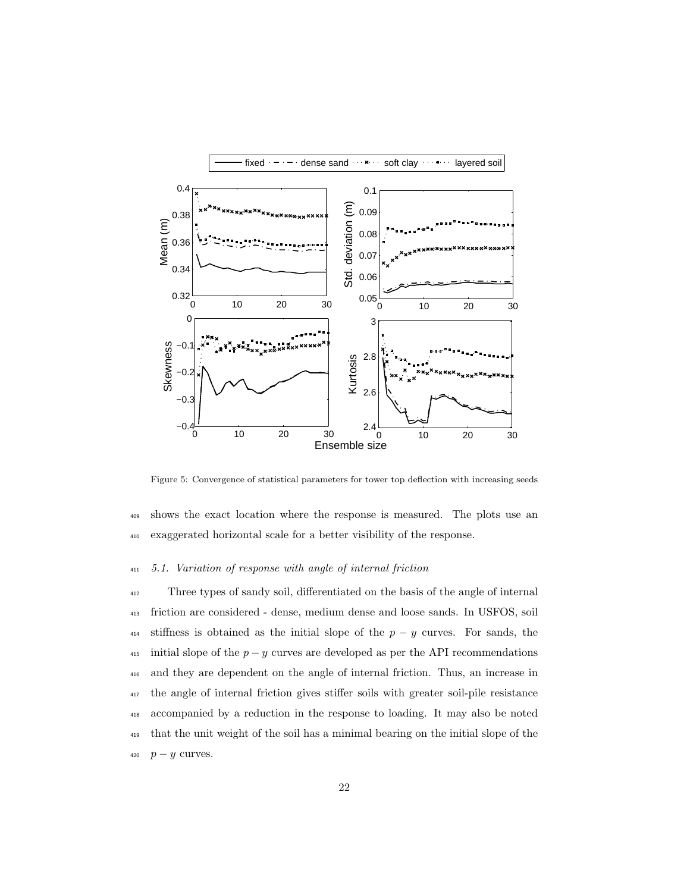

<span id="page-21-0"></span>Figure 5: Convergence of statistical parameters for tower top deflection with increasing seeds

<sup>409</sup> shows the exact location where the response is measured. The plots use an <sup>410</sup> exaggerated horizontal scale for a better visibility of the response.

### <sup>411</sup> 5.1. Variation of response with angle of internal friction

 Three types of sandy soil, differentiated on the basis of the angle of internal friction are considered - dense, medium dense and loose sands. In USFOS, soil 414 stiffness is obtained as the initial slope of the  $p - y$  curves. For sands, the 415 initial slope of the  $p - y$  curves are developed as per the API recommendations and they are dependent on the angle of internal friction. Thus, an increase in the angle of internal friction gives stiffer soils with greater soil-pile resistance accompanied by a reduction in the response to loading. It may also be noted that the unit weight of the soil has a minimal bearing on the initial slope of the  $p - y$  curves.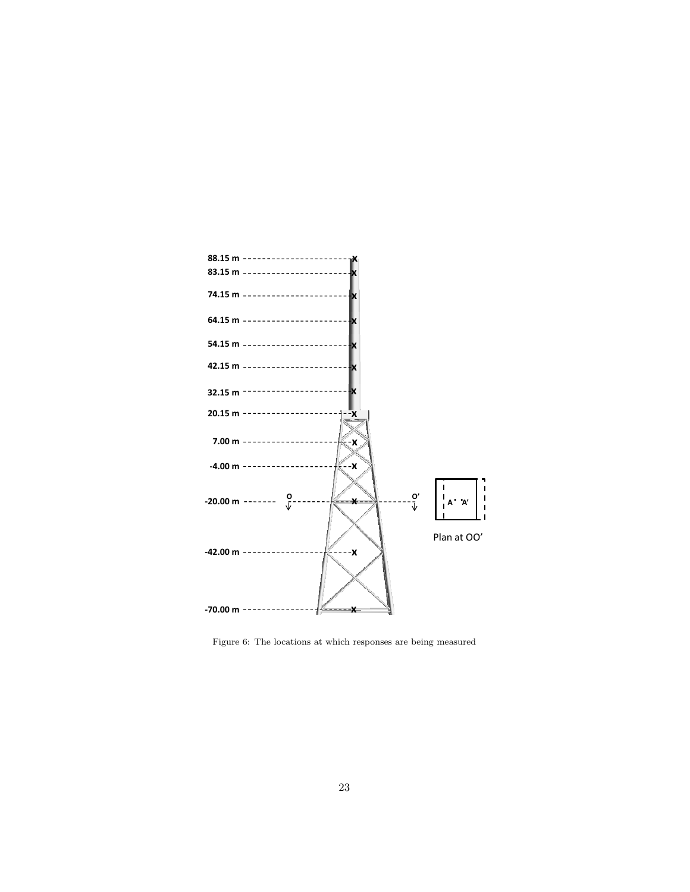

<span id="page-22-0"></span>Figure 6: The locations at which responses are being measured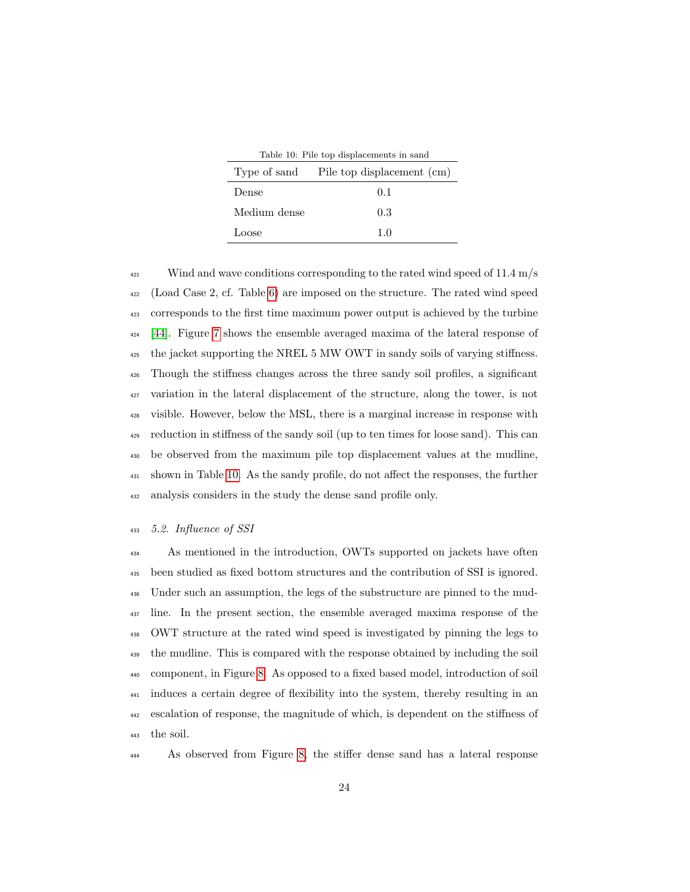<span id="page-23-0"></span>

|              | Table 10. Pile top displacements in sand<br>Type of sand Pile top displacement (cm) |
|--------------|-------------------------------------------------------------------------------------|
| Dense        | 0.1                                                                                 |
| Medium dense | 0.3                                                                                 |
| Loose        | 10                                                                                  |

 $\frac{421}{421}$  Wind and wave conditions corresponding to the rated wind speed of 11.4 m/s (Load Case 2, cf. Table [6\)](#page-18-0) are imposed on the structure. The rated wind speed corresponds to the first time maximum power output is achieved by the turbine [\[44\]](#page-43-6). Figure [7](#page-24-0) shows the ensemble averaged maxima of the lateral response of the jacket supporting the NREL 5 MW OWT in sandy soils of varying stiffness. Though the stiffness changes across the three sandy soil profiles, a significant variation in the lateral displacement of the structure, along the tower, is not visible. However, below the MSL, there is a marginal increase in response with reduction in stiffness of the sandy soil (up to ten times for loose sand). This can be observed from the maximum pile top displacement values at the mudline, shown in Table [10.](#page-23-0) As the sandy profile, do not affect the responses, the further analysis considers in the study the dense sand profile only.

# 5.2. Influence of SSI

 As mentioned in the introduction, OWTs supported on jackets have often been studied as fixed bottom structures and the contribution of SSI is ignored. Under such an assumption, the legs of the substructure are pinned to the mud- line. In the present section, the ensemble averaged maxima response of the OWT structure at the rated wind speed is investigated by pinning the legs to the mudline. This is compared with the response obtained by including the soil component, in Figure [8.](#page-25-0) As opposed to a fixed based model, introduction of soil induces a certain degree of flexibility into the system, thereby resulting in an escalation of response, the magnitude of which, is dependent on the stiffness of the soil.

As observed from Figure [8,](#page-25-0) the stiffer dense sand has a lateral response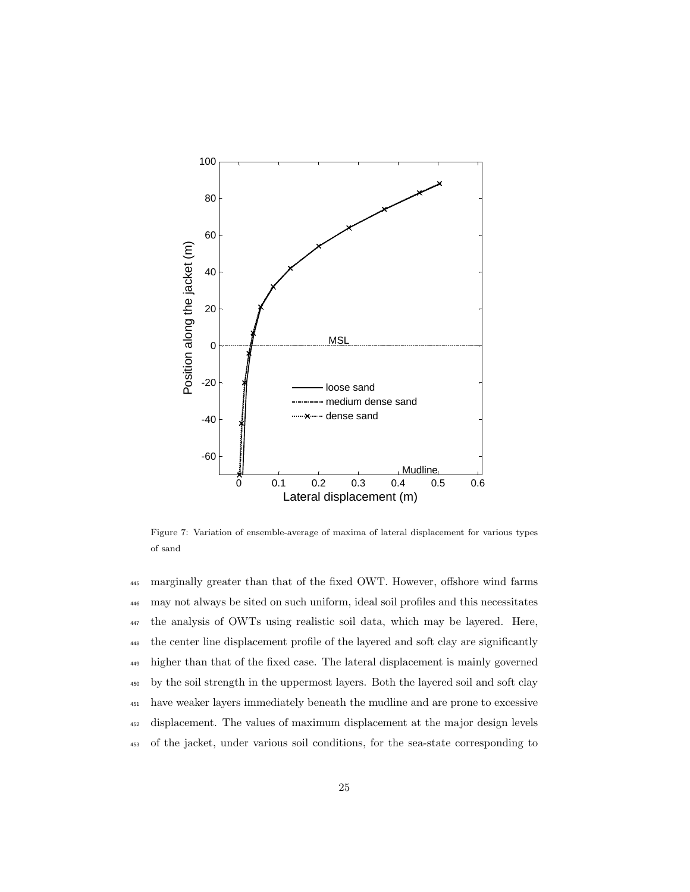

<span id="page-24-0"></span>Figure 7: Variation of ensemble-average of maxima of lateral displacement for various types of sand

 marginally greater than that of the fixed OWT. However, offshore wind farms may not always be sited on such uniform, ideal soil profiles and this necessitates the analysis of OWTs using realistic soil data, which may be layered. Here, the center line displacement profile of the layered and soft clay are significantly higher than that of the fixed case. The lateral displacement is mainly governed by the soil strength in the uppermost layers. Both the layered soil and soft clay have weaker layers immediately beneath the mudline and are prone to excessive displacement. The values of maximum displacement at the major design levels of the jacket, under various soil conditions, for the sea-state corresponding to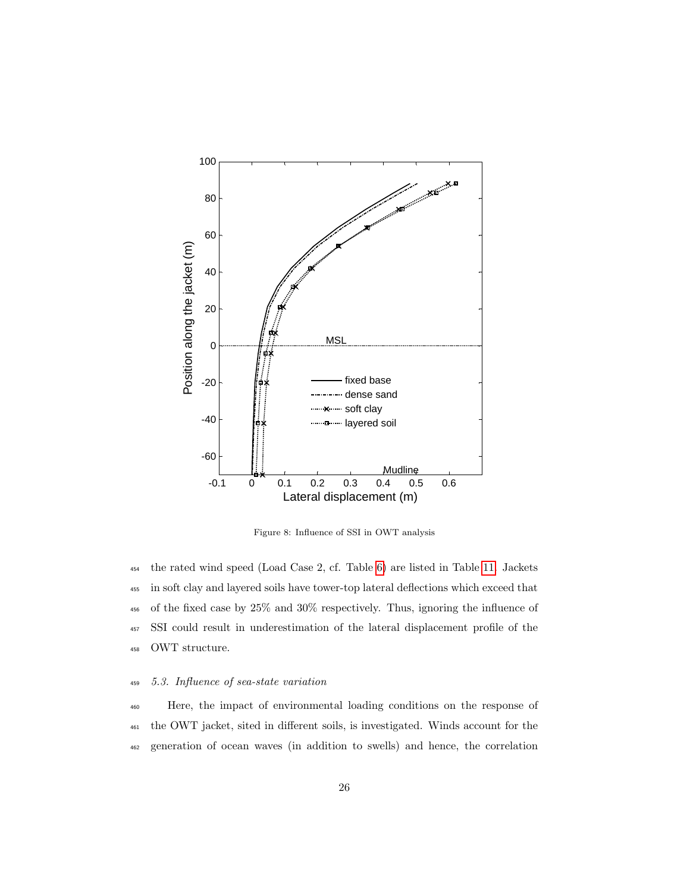

<span id="page-25-0"></span>Figure 8: Influence of SSI in OWT analysis

 the rated wind speed (Load Case 2, cf. Table [6\)](#page-18-0) are listed in Table [11.](#page-26-0) Jackets in soft clay and layered soils have tower-top lateral deflections which exceed that of the fixed case by 25% and 30% respectively. Thus, ignoring the influence of SSI could result in underestimation of the lateral displacement profile of the OWT structure.

# <sup>459</sup> 5.3. Influence of sea-state variation

<sup>460</sup> Here, the impact of environmental loading conditions on the response of <sup>461</sup> the OWT jacket, sited in different soils, is investigated. Winds account for the <sup>462</sup> generation of ocean waves (in addition to swells) and hence, the correlation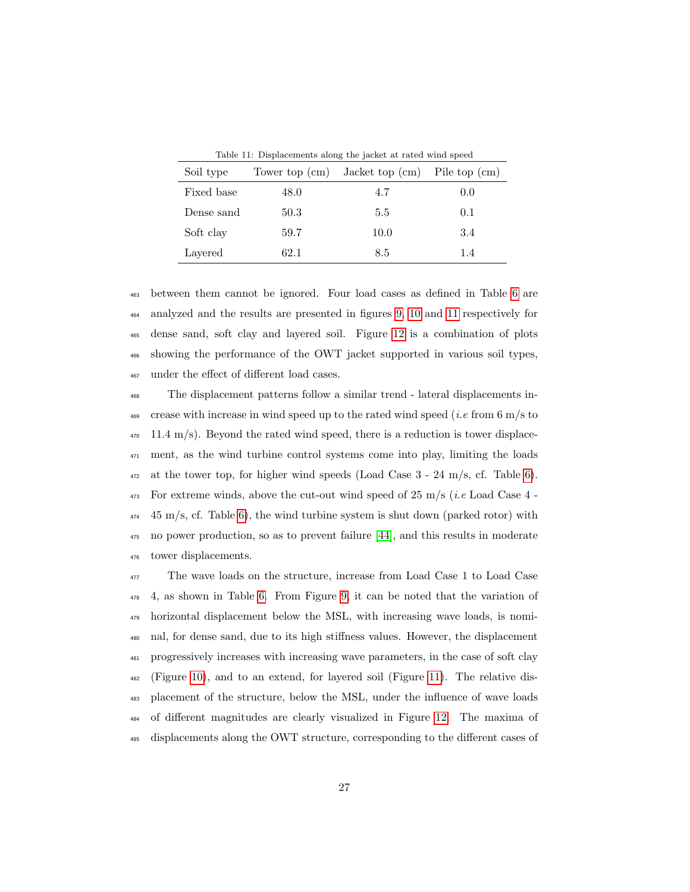| Soil type  | Tower top $\rm (cm)$ | Jacket top $\text{(cm)}$ | Pile top (cm) |
|------------|----------------------|--------------------------|---------------|
| Fixed base | 48.0                 | 4.7                      | 0.0           |
| Dense sand | 50.3                 | 5.5                      | 0.1           |
| Soft clay  | 59.7                 | 10.0                     | 3.4           |
| Layered    | 62.1                 | 8.5                      | 1.4           |

<span id="page-26-0"></span>Table 11: Displacements along the jacket at rated wind speed

 between them cannot be ignored. Four load cases as defined in Table [6](#page-18-0) are analyzed and the results are presented in figures [9,](#page-27-0) [10](#page-29-0) and [11](#page-30-0) respectively for dense sand, soft clay and layered soil. Figure [12](#page-31-0) is a combination of plots showing the performance of the OWT jacket supported in various soil types, under the effect of different load cases.

 The displacement patterns follow a similar trend - lateral displacements in- crease with increase in wind speed up to the rated wind speed (*i.e* from 6 m/s to  $470 \quad 11.4 \text{ m/s}$ . Beyond the rated wind speed, there is a reduction is tower displace- ment, as the wind turbine control systems come into play, limiting the loads at the tower top, for higher wind speeds (Load Case  $3 - 24$  m/s, cf. Table [6\)](#page-18-0). For extreme winds, above the cut-out wind speed of 25 m/s (*i.e* Load Case 4 - $45 \text{ m/s}$ , cf. Table [6\)](#page-18-0), the wind turbine system is shut down (parked rotor) with no power production, so as to prevent failure [\[44\]](#page-43-6), and this results in moderate tower displacements.

 The wave loads on the structure, increase from Load Case 1 to Load Case 4, as shown in Table [6.](#page-18-0) From Figure [9,](#page-27-0) it can be noted that the variation of horizontal displacement below the MSL, with increasing wave loads, is nomi- nal, for dense sand, due to its high stiffness values. However, the displacement progressively increases with increasing wave parameters, in the case of soft clay (Figure [10\)](#page-29-0), and to an extend, for layered soil (Figure [11\)](#page-30-0). The relative dis- placement of the structure, below the MSL, under the influence of wave loads of different magnitudes are clearly visualized in Figure [12.](#page-31-0) The maxima of displacements along the OWT structure, corresponding to the different cases of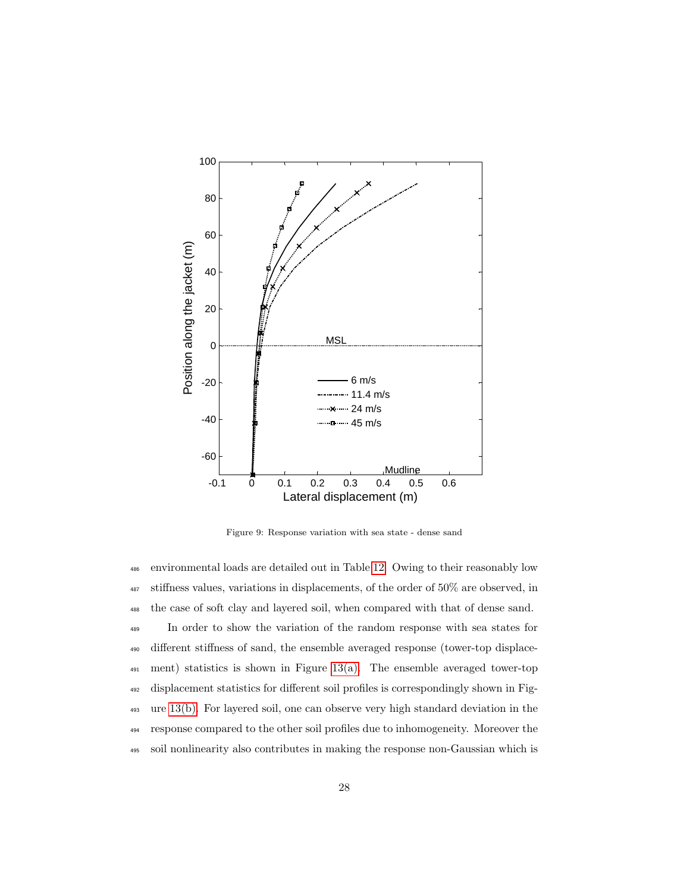

<span id="page-27-0"></span>Figure 9: Response variation with sea state - dense sand

 environmental loads are detailed out in Table [12.](#page-28-0) Owing to their reasonably low stiffness values, variations in displacements, of the order of 50% are observed, in the case of soft clay and layered soil, when compared with that of dense sand. In order to show the variation of the random response with sea states for different stiffness of sand, the ensemble averaged response (tower-top displace- ment) statistics is shown in Figure [13\(a\).](#page-32-0) The ensemble averaged tower-top displacement statistics for different soil profiles is correspondingly shown in Fig- ure [13\(b\).](#page-32-1) For layered soil, one can observe very high standard deviation in the response compared to the other soil profiles due to inhomogeneity. Moreover the soil nonlinearity also contributes in making the response non-Gaussian which is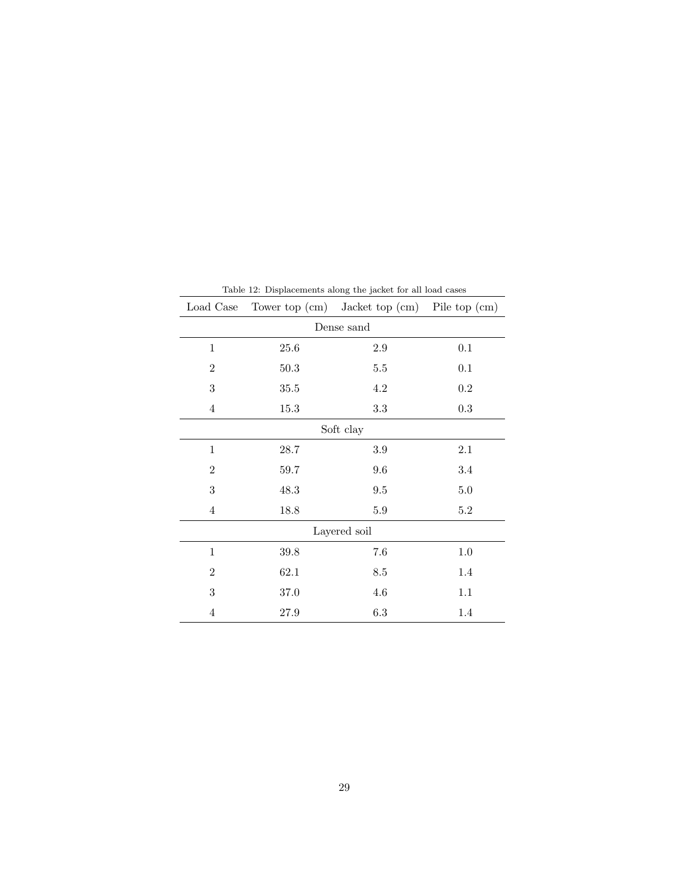| Load Case        |          | Tower top $(cm)$ Jacket top $(cm)$ Pile top $(cm)$ |         |
|------------------|----------|----------------------------------------------------|---------|
| Dense sand       |          |                                                    |         |
| $\mathbf{1}$     | 25.6     | 2.9                                                | 0.1     |
| $\overline{2}$   | 50.3     | $5.5\,$                                            | 0.1     |
| 3                | $35.5\,$ | $4.2\,$                                            | 0.2     |
| $\overline{4}$   | 15.3     | $3.3\,$                                            | 0.3     |
| Soft clay        |          |                                                    |         |
| $\mathbf{1}$     | 28.7     | 3.9                                                | 2.1     |
| $\overline{2}$   | 59.7     | 9.6                                                | 3.4     |
| 3                | 48.3     | 9.5                                                | 5.0     |
| $\overline{4}$   | 18.8     | 5.9                                                | $5.2\,$ |
| Layered soil     |          |                                                    |         |
| $\mathbf{1}$     | 39.8     | 7.6                                                | 1.0     |
| $\overline{2}$   | 62.1     | 8.5                                                | 1.4     |
| $\boldsymbol{3}$ | 37.0     | 4.6                                                | 1.1     |
| $\overline{4}$   | 27.9     | 6.3                                                | 1.4     |

<span id="page-28-0"></span>Table 12: Displacements along the jacket for all load cases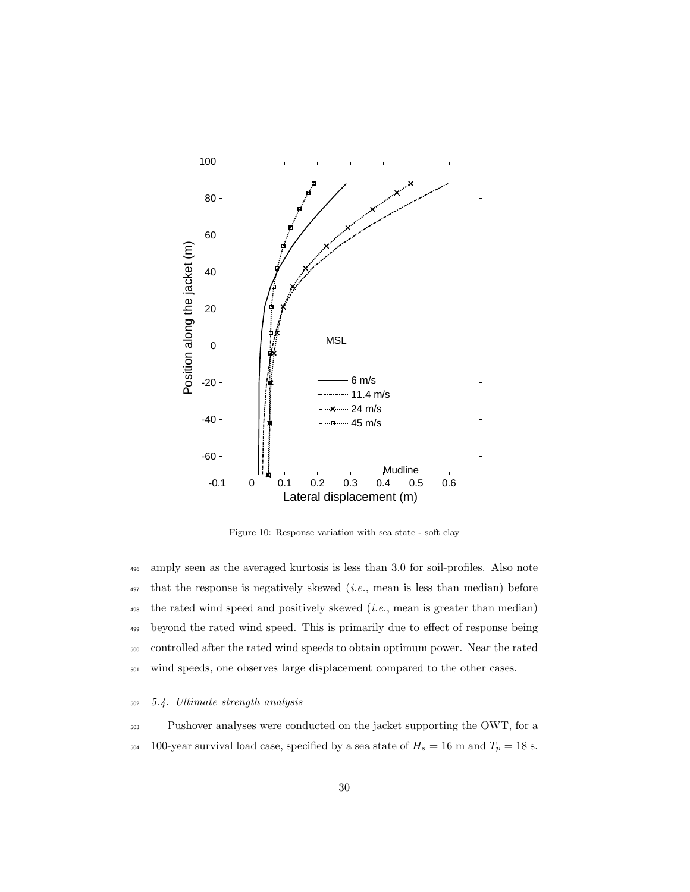

<span id="page-29-0"></span>Figure 10: Response variation with sea state - soft clay

 amply seen as the averaged kurtosis is less than 3.0 for soil-profiles. Also note that the response is negatively skewed (*i.e.*, mean is less than median) before the rated wind speed and positively skewed (*i.e.*, mean is greater than median) beyond the rated wind speed. This is primarily due to effect of response being controlled after the rated wind speeds to obtain optimum power. Near the rated wind speeds, one observes large displacement compared to the other cases.

#### <sup>502</sup> 5.4. Ultimate strength analysis

<sup>503</sup> Pushover analyses were conducted on the jacket supporting the OWT, for a  $_{504}$  –  $100$  year survival load case, specified by a sea state of  $H_s = 16~\mathrm{m}$  and  $T_p = 18~\mathrm{s}.$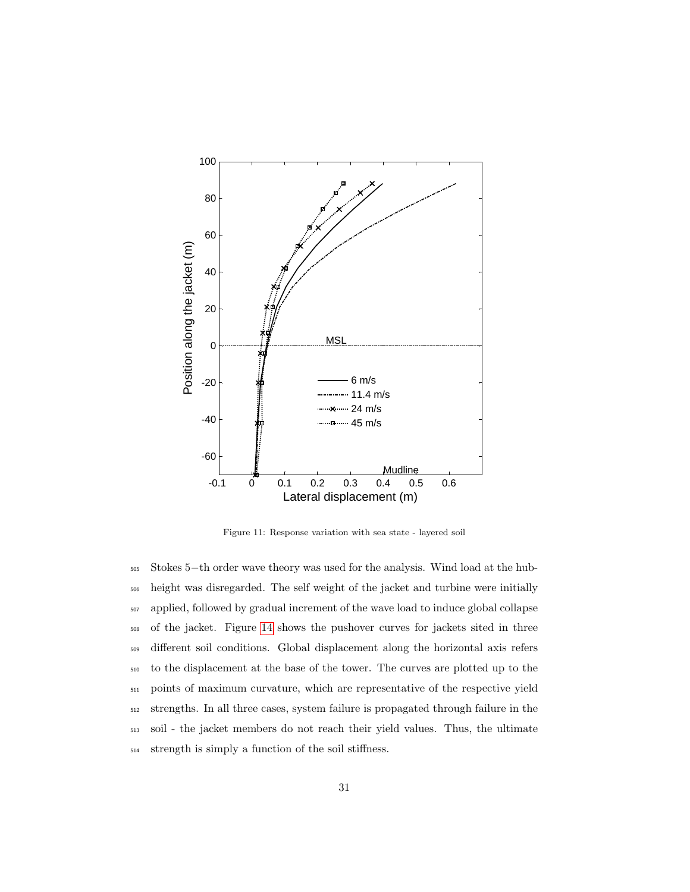

<span id="page-30-0"></span>Figure 11: Response variation with sea state - layered soil

 Stokes 5−th order wave theory was used for the analysis. Wind load at the hub- height was disregarded. The self weight of the jacket and turbine were initially applied, followed by gradual increment of the wave load to induce global collapse of the jacket. Figure [14](#page-33-0) shows the pushover curves for jackets sited in three different soil conditions. Global displacement along the horizontal axis refers to the displacement at the base of the tower. The curves are plotted up to the points of maximum curvature, which are representative of the respective yield strengths. In all three cases, system failure is propagated through failure in the soil - the jacket members do not reach their yield values. Thus, the ultimate strength is simply a function of the soil stiffness.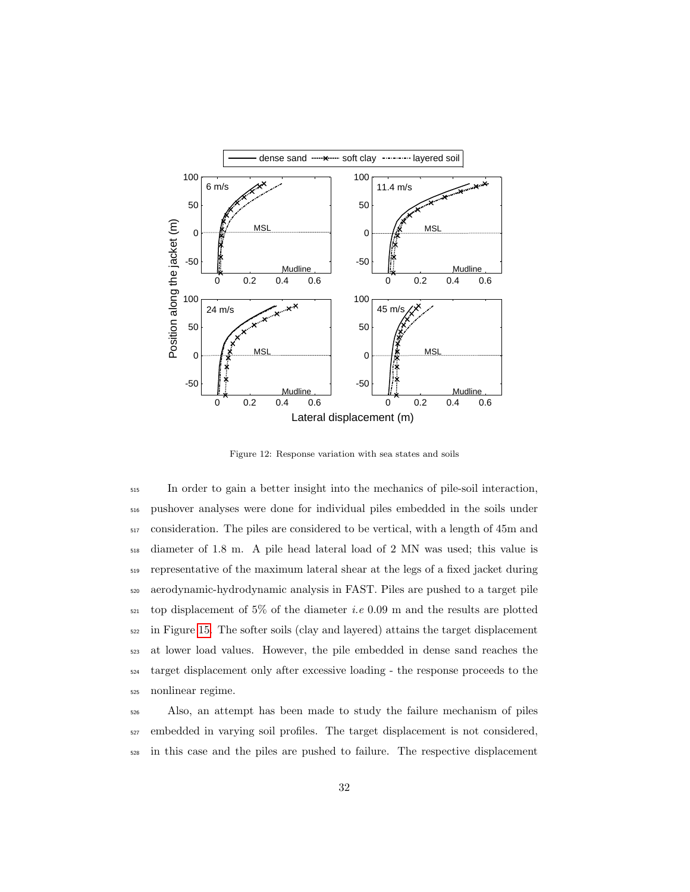

<span id="page-31-0"></span>Figure 12: Response variation with sea states and soils

 In order to gain a better insight into the mechanics of pile-soil interaction, pushover analyses were done for individual piles embedded in the soils under consideration. The piles are considered to be vertical, with a length of 45m and diameter of 1.8 m. A pile head lateral load of 2 MN was used; this value is representative of the maximum lateral shear at the legs of a fixed jacket during aerodynamic-hydrodynamic analysis in FAST. Piles are pushed to a target pile top displacement of 5% of the diameter i.e 0.09 m and the results are plotted in Figure [15.](#page-34-0) The softer soils (clay and layered) attains the target displacement at lower load values. However, the pile embedded in dense sand reaches the target displacement only after excessive loading - the response proceeds to the nonlinear regime.

 Also, an attempt has been made to study the failure mechanism of piles embedded in varying soil profiles. The target displacement is not considered, in this case and the piles are pushed to failure. The respective displacement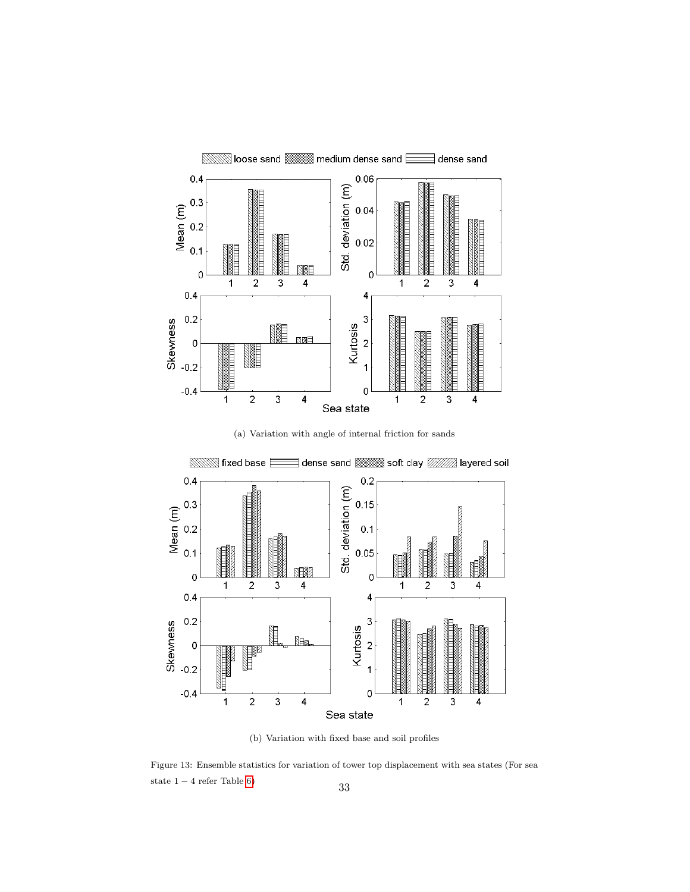

(a) Variation with angle of internal friction for sands

<span id="page-32-0"></span>

(b) Variation with fixed base and soil profiles

<span id="page-32-1"></span>Figure 13: Ensemble statistics for variation of tower top displacement with sea states (For sea state  $1 - 4$  refer Table [6\)](#page-18-0) 33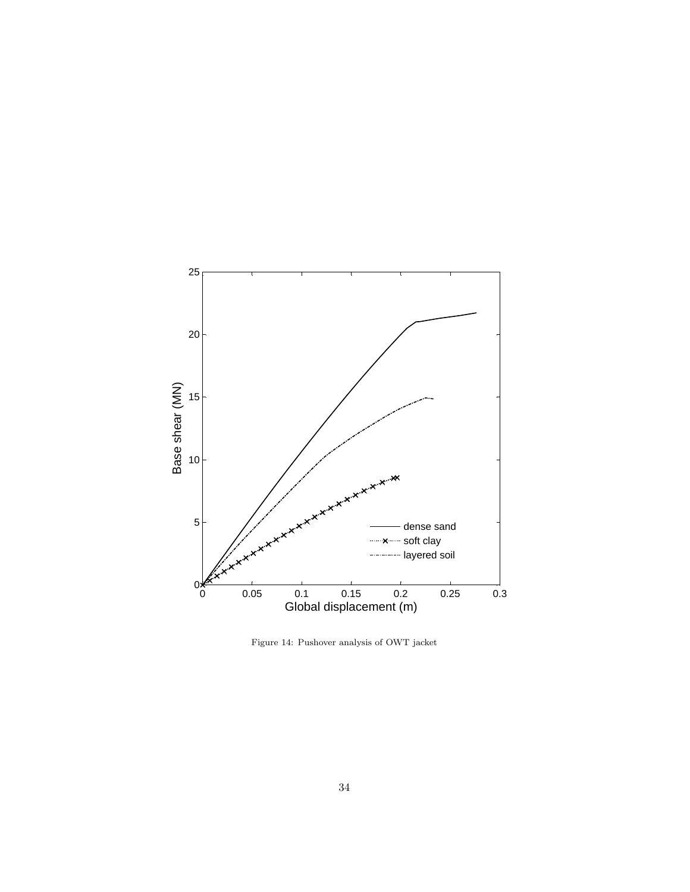

<span id="page-33-0"></span>Figure 14: Pushover analysis of OWT jacket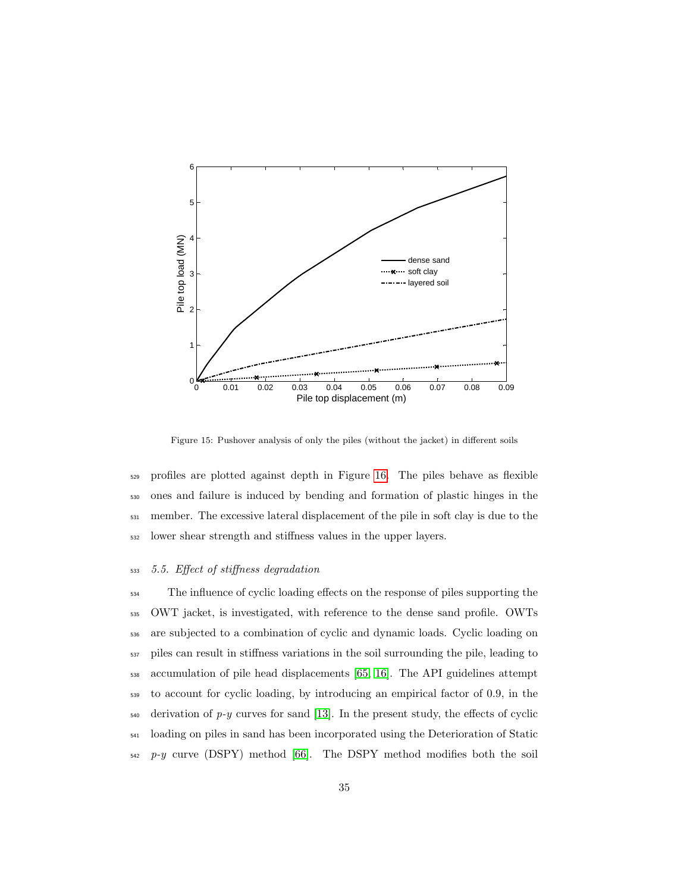

<span id="page-34-0"></span>Figure 15: Pushover analysis of only the piles (without the jacket) in different soils

 profiles are plotted against depth in Figure [16.](#page-35-0) The piles behave as flexible ones and failure is induced by bending and formation of plastic hinges in the member. The excessive lateral displacement of the pile in soft clay is due to the lower shear strength and stiffness values in the upper layers.

# 5.5. Effect of stiffness degradation

 The influence of cyclic loading effects on the response of piles supporting the OWT jacket, is investigated, with reference to the dense sand profile. OWTs are subjected to a combination of cyclic and dynamic loads. Cyclic loading on piles can result in stiffness variations in the soil surrounding the pile, leading to accumulation of pile head displacements [\[65,](#page-45-7) [16\]](#page-40-5). The API guidelines attempt to account for cyclic loading, by introducing an empirical factor of 0.9, in the  $_{540}$  derivation of p-y curves for sand [\[13\]](#page-40-2). In the present study, the effects of cyclic loading on piles in sand has been incorporated using the Deterioration of Static p-y curve (DSPY) method [\[66\]](#page-46-0). The DSPY method modifies both the soil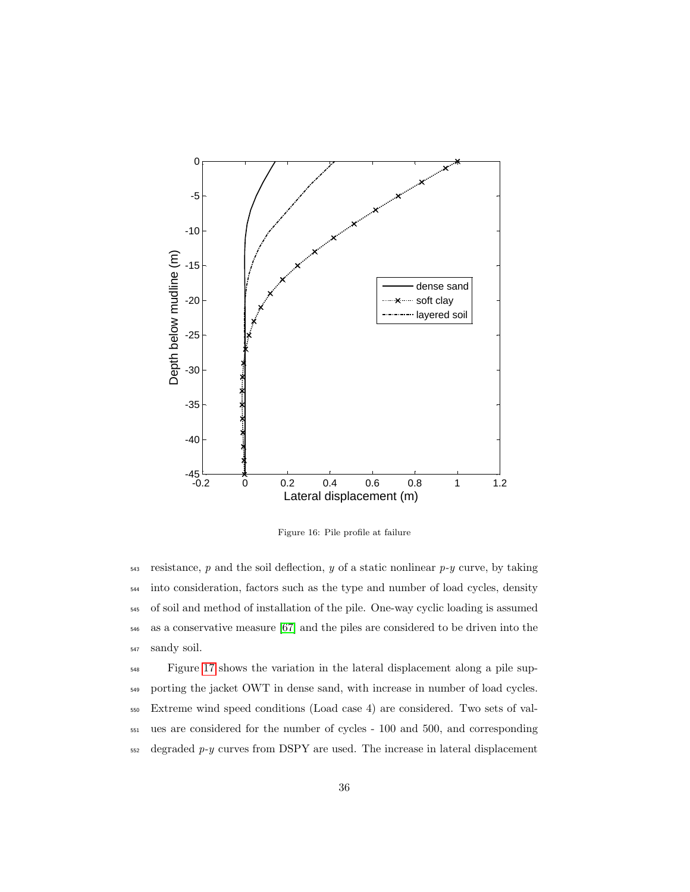

<span id="page-35-0"></span>Figure 16: Pile profile at failure

 resistance, p and the soil deflection, y of a static nonlinear p-y curve, by taking into consideration, factors such as the type and number of load cycles, density of soil and method of installation of the pile. One-way cyclic loading is assumed as a conservative measure [\[67\]](#page-46-1) and the piles are considered to be driven into the sandy soil.

 Figure [17](#page-36-0) shows the variation in the lateral displacement along a pile sup- porting the jacket OWT in dense sand, with increase in number of load cycles. Extreme wind speed conditions (Load case 4) are considered. Two sets of val- ues are considered for the number of cycles - 100 and 500, and corresponding degraded  $p-y$  curves from DSPY are used. The increase in lateral displacement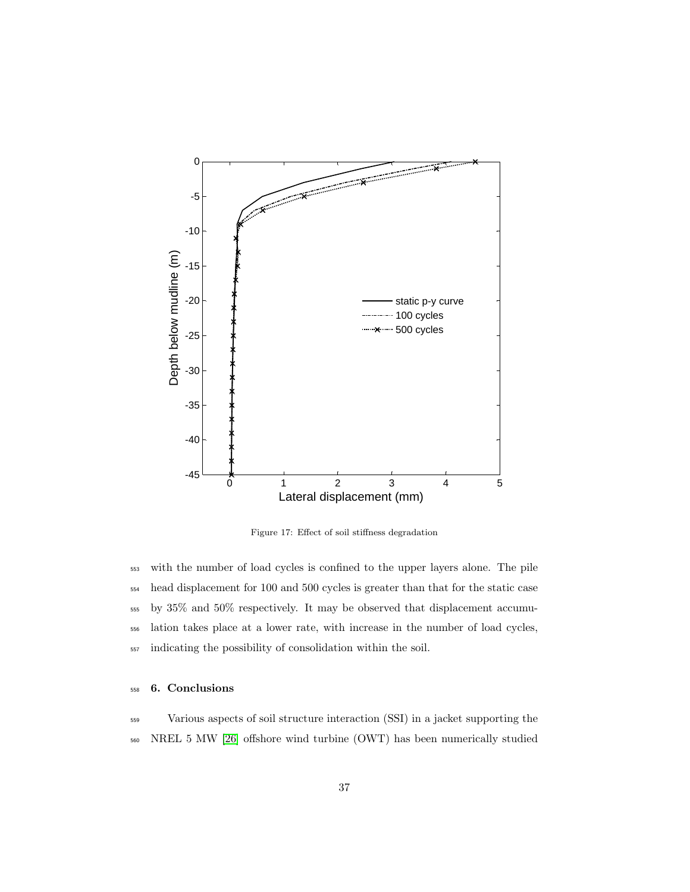

<span id="page-36-0"></span>Figure 17: Effect of soil stiffness degradation

 with the number of load cycles is confined to the upper layers alone. The pile head displacement for 100 and 500 cycles is greater than that for the static case by 35% and 50% respectively. It may be observed that displacement accumu- lation takes place at a lower rate, with increase in the number of load cycles, indicating the possibility of consolidation within the soil.

# <sup>558</sup> 6. Conclusions

<sup>559</sup> Various aspects of soil structure interaction (SSI) in a jacket supporting the <sup>560</sup> NREL 5 MW [\[26\]](#page-41-6) offshore wind turbine (OWT) has been numerically studied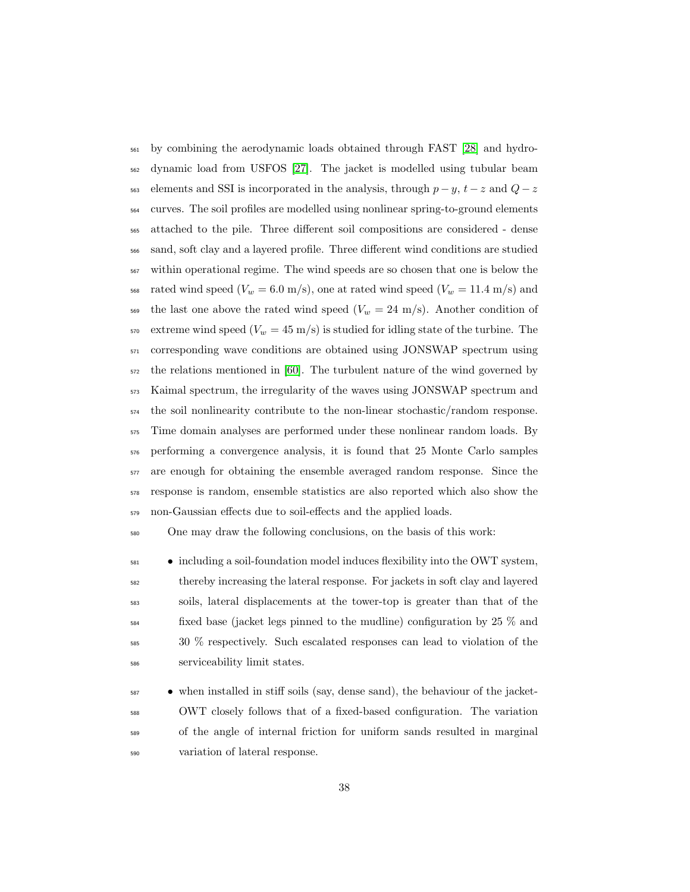by combining the aerodynamic loads obtained through FAST [\[28\]](#page-41-8) and hydro- dynamic load from USFOS [\[27\]](#page-41-7). The jacket is modelled using tubular beam  $\frac{563}{2}$  elements and SSI is incorporated in the analysis, through  $p - y$ ,  $t - z$  and  $Q - z$  curves. The soil profiles are modelled using nonlinear spring-to-ground elements attached to the pile. Three different soil compositions are considered - dense sand, soft clay and a layered profile. Three different wind conditions are studied within operational regime. The wind speeds are so chosen that one is below the  $_{568}$  rated wind speed ( $V_w = 6.0$  m/s), one at rated wind speed ( $V_w = 11.4$  m/s) and 569 the last one above the rated wind speed  $(V_w = 24 \text{ m/s})$ . Another condition of 570 extreme wind speed  $(V_w = 45 \text{ m/s})$  is studied for idling state of the turbine. The corresponding wave conditions are obtained using JONSWAP spectrum using the relations mentioned in [\[60\]](#page-45-2). The turbulent nature of the wind governed by Kaimal spectrum, the irregularity of the waves using JONSWAP spectrum and the soil nonlinearity contribute to the non-linear stochastic/random response. Time domain analyses are performed under these nonlinear random loads. By performing a convergence analysis, it is found that 25 Monte Carlo samples are enough for obtaining the ensemble averaged random response. Since the response is random, ensemble statistics are also reported which also show the non-Gaussian effects due to soil-effects and the applied loads.

One may draw the following conclusions, on the basis of this work:

 $\bullet$  including a soil-foundation model induces flexibility into the OWT system, thereby increasing the lateral response. For jackets in soft clay and layered soils, lateral displacements at the tower-top is greater than that of the  $\frac{584}{25}$  fixed base (jacket legs pinned to the mudline) configuration by 25 % and 30 % respectively. Such escalated responses can lead to violation of the serviceability limit states.

 $\bullet$  when installed in stiff soils (say, dense sand), the behaviour of the jacket- OWT closely follows that of a fixed-based configuration. The variation of the angle of internal friction for uniform sands resulted in marginal variation of lateral response.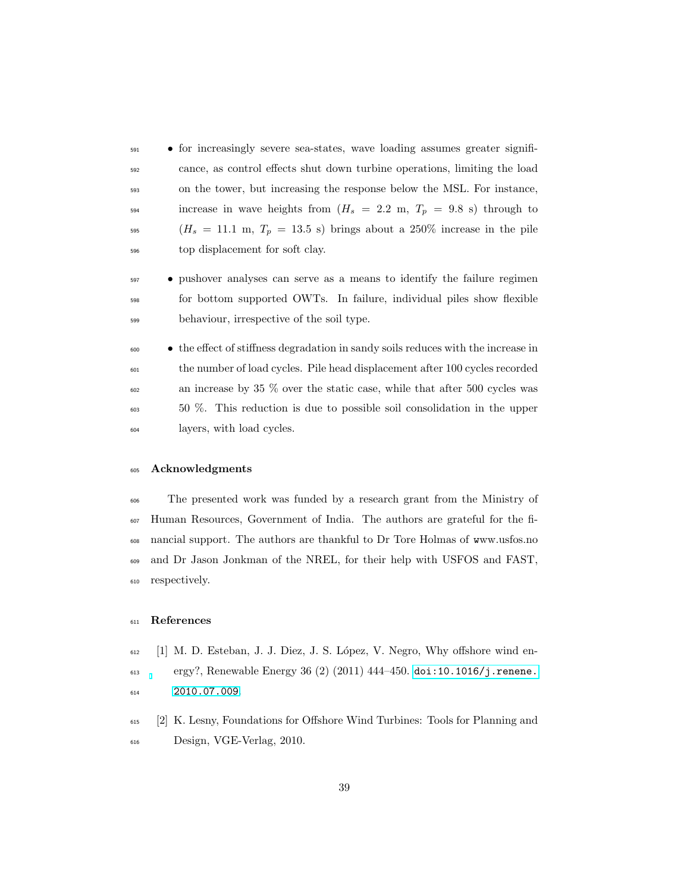• for increasingly severe sea-states, wave loading assumes greater signifi- cance, as control effects shut down turbine operations, limiting the load on the tower, but increasing the response below the MSL. For instance, 594 increase in wave heights from  $(H_s = 2.2 \text{ m}, T_p = 9.8 \text{ s})$  through to  $(H_s = 11.1 \text{ m}, T_p = 13.5 \text{ s})$  brings about a 250% increase in the pile top displacement for soft clay.

 • pushover analyses can serve as a means to identify the failure regimen for bottom supported OWTs. In failure, individual piles show flexible behaviour, irrespective of the soil type.

 • the effect of stiffness degradation in sandy soils reduces with the increase in the number of load cycles. Pile head displacement after 100 cycles recorded an increase by 35 % over the static case, while that after 500 cycles was 50 %. This reduction is due to possible soil consolidation in the upper layers, with load cycles.

#### Acknowledgments

 The presented work was funded by a research grant from the Ministry of Human Resources, Government of India. The authors are grateful for the fi- nancial support. The authors are thankful to Dr Tore Holmas of www.usfos.no and Dr Jason Jonkman of the NREL, for their help with USFOS and FAST, respectively.

# References

- <span id="page-38-0"></span> [1] M. D. Esteban, J. J. Diez, J. S. L´opez, V. Negro, Why offshore wind en- $_{613}$  ergy?, Renewable Energy 36 (2) (2011) 444–450. doi:10.1016/j. renene. [2010.07.009](http://dx.doi.org/10.1016/j.renene.2010.07.009).
- <span id="page-38-1"></span> [2] K. Lesny, Foundations for Offshore Wind Turbines: Tools for Planning and Design, VGE-Verlag, 2010.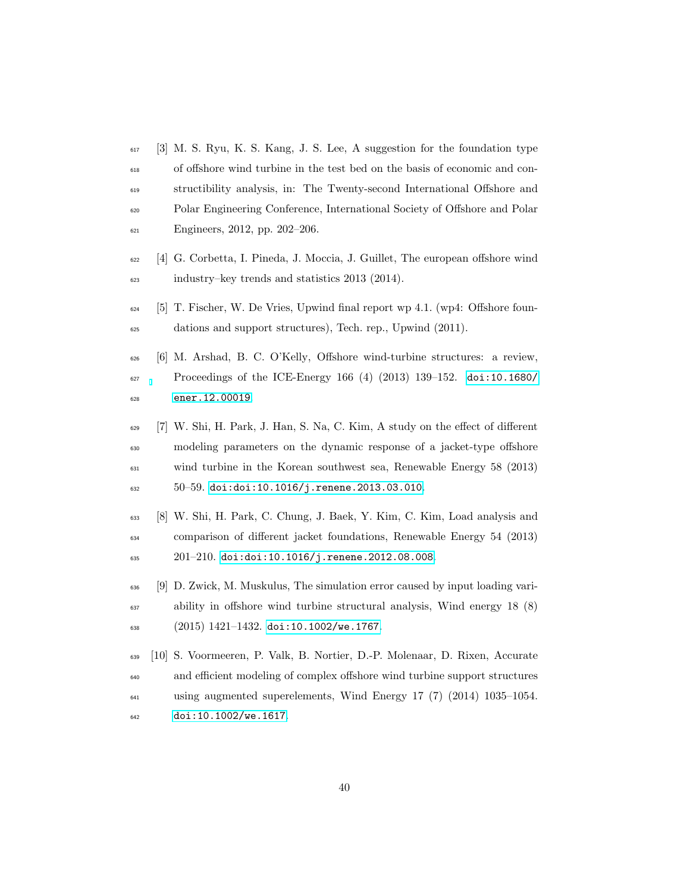- <span id="page-39-0"></span> [3] M. S. Ryu, K. S. Kang, J. S. Lee, A suggestion for the foundation type of offshore wind turbine in the test bed on the basis of economic and con- structibility analysis, in: The Twenty-second International Offshore and Polar Engineering Conference, International Society of Offshore and Polar Engineers, 2012, pp. 202–206.
- <span id="page-39-1"></span> [4] G. Corbetta, I. Pineda, J. Moccia, J. Guillet, The european offshore wind industry–key trends and statistics 2013 (2014).
- <span id="page-39-2"></span> [5] T. Fischer, W. De Vries, Upwind final report wp 4.1. (wp4: Offshore foun-dations and support structures), Tech. rep., Upwind (2011).
- <span id="page-39-3"></span> [6] M. Arshad, B. C. O'Kelly, Offshore wind-turbine structures: a review, Proceedings of the ICE-Energy 166 (4) (2013) 139–152. [doi:10.1680/](http://dx.doi.org/10.1680/ener.12.00019) [ener.12.00019](http://dx.doi.org/10.1680/ener.12.00019).
- <span id="page-39-4"></span> [7] W. Shi, H. Park, J. Han, S. Na, C. Kim, A study on the effect of different modeling parameters on the dynamic response of a jacket-type offshore wind turbine in the Korean southwest sea, Renewable Energy 58 (2013)  $50-59$ . [doi:doi:10.1016/j.renene.2013.03.010](http://dx.doi.org/doi:10.1016/j.renene.2013.03.010).
- <span id="page-39-5"></span> [8] W. Shi, H. Park, C. Chung, J. Baek, Y. Kim, C. Kim, Load analysis and comparison of different jacket foundations, Renewable Energy 54 (2013)  $201-210.$  [doi:doi:10.1016/j.renene.2012.08.008](http://dx.doi.org/doi:10.1016/j.renene.2012.08.008).
- <span id="page-39-6"></span> [9] D. Zwick, M. Muskulus, The simulation error caused by input loading vari- ability in offshore wind turbine structural analysis, Wind energy 18 (8) (2015) 1421-1432. [doi:10.1002/we.1767](http://dx.doi.org/10.1002/we.1767).
- <span id="page-39-7"></span> [10] S. Voormeeren, P. Valk, B. Nortier, D.-P. Molenaar, D. Rixen, Accurate and efficient modeling of complex offshore wind turbine support structures using augmented superelements, Wind Energy 17 (7) (2014) 1035–1054. [doi:10.1002/we.1617](http://dx.doi.org/10.1002/we.1617).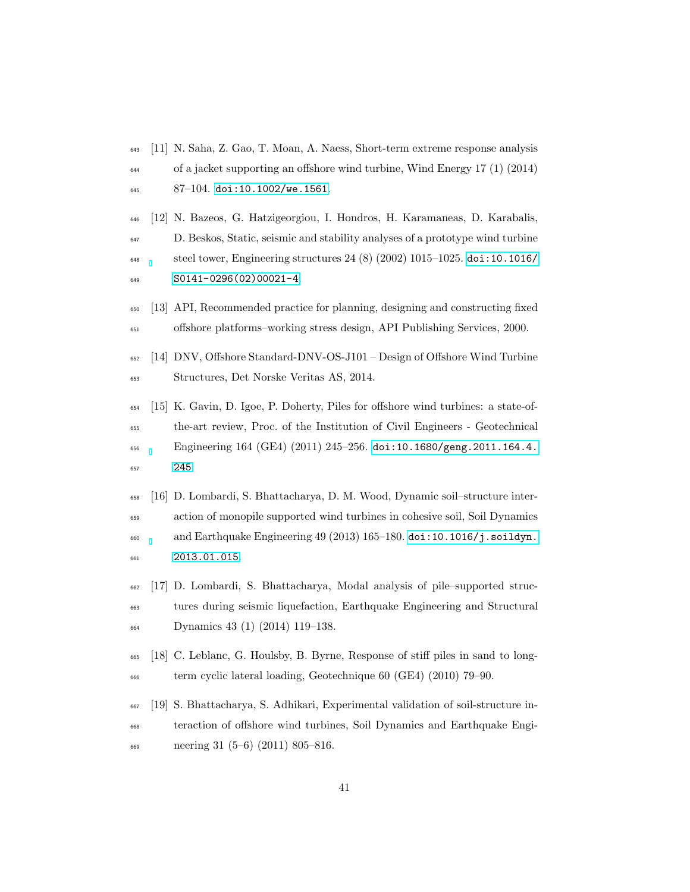- <span id="page-40-0"></span> [11] N. Saha, Z. Gao, T. Moan, A. Naess, Short-term extreme response analysis of a jacket supporting an offshore wind turbine, Wind Energy 17 (1) (2014) 87-104. [doi:10.1002/we.1561](http://dx.doi.org/10.1002/we.1561).
- <span id="page-40-1"></span> [12] N. Bazeos, G. Hatzigeorgiou, I. Hondros, H. Karamaneas, D. Karabalis, D. Beskos, Static, seismic and stability analyses of a prototype wind turbine  $\mu_{648}$  steel tower, Engineering structures 24 (8) (2002) 1015–1025. [doi:10.1016/](http://dx.doi.org/10.1016/S0141-0296(02)00021-4) [S0141-0296\(02\)00021-4](http://dx.doi.org/10.1016/S0141-0296(02)00021-4).
- <span id="page-40-2"></span> [13] API, Recommended practice for planning, designing and constructing fixed offshore platforms–working stress design, API Publishing Services, 2000.
- <span id="page-40-3"></span> [14] DNV, Offshore Standard-DNV-OS-J101 – Design of Offshore Wind Turbine Structures, Det Norske Veritas AS, 2014.
- <span id="page-40-4"></span> [15] K. Gavin, D. Igoe, P. Doherty, Piles for offshore wind turbines: a state-of- the-art review, Proc. of the Institution of Civil Engineers - Geotechnical Engineering 164 (GE4) (2011) 245–256. [doi:10.1680/geng.2011.164.4.](http://dx.doi.org/10.1680/geng.2011.164.4.245) [245](http://dx.doi.org/10.1680/geng.2011.164.4.245).
- <span id="page-40-5"></span> [16] D. Lombardi, S. Bhattacharya, D. M. Wood, Dynamic soil–structure inter- action of monopile supported wind turbines in cohesive soil, Soil Dynamics  $\epsilon_{660}$  and Earthquake Engineering 49 (2013) 165–180. [doi:10.1016/j.soildyn.](http://dx.doi.org/10.1016/j.soildyn.2013.01.015) [2013.01.015](http://dx.doi.org/10.1016/j.soildyn.2013.01.015).
- <span id="page-40-6"></span> [17] D. Lombardi, S. Bhattacharya, Modal analysis of pile–supported struc- tures during seismic liquefaction, Earthquake Engineering and Structural Dynamics 43 (1) (2014) 119–138.
- <span id="page-40-7"></span> [18] C. Leblanc, G. Houlsby, B. Byrne, Response of stiff piles in sand to long-term cyclic lateral loading, Geotechnique 60 (GE4) (2010) 79–90.
- <span id="page-40-8"></span> [19] S. Bhattacharya, S. Adhikari, Experimental validation of soil-structure in- teraction of offshore wind turbines, Soil Dynamics and Earthquake Engi-neering 31 (5–6) (2011) 805–816.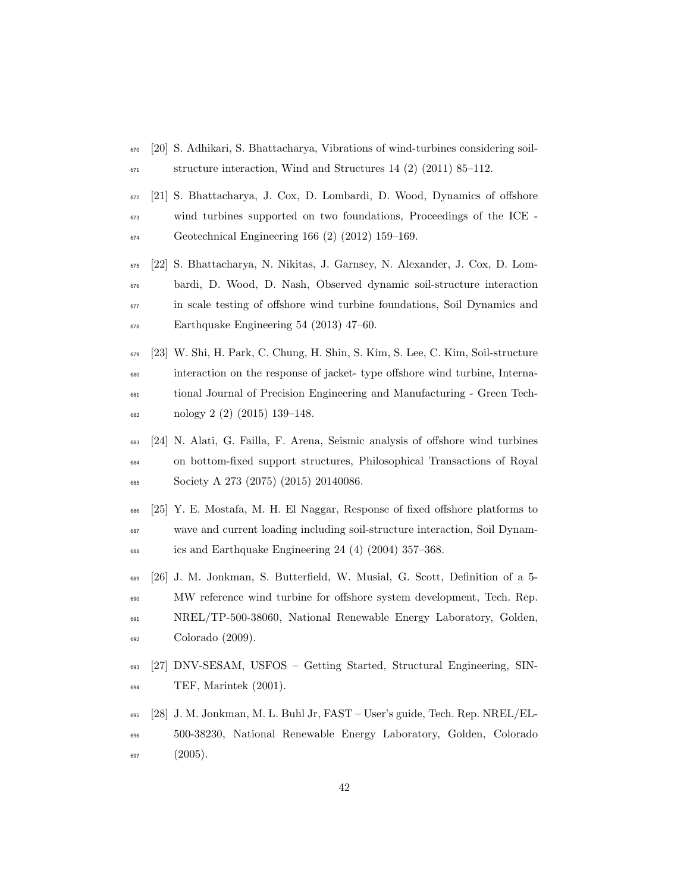- <span id="page-41-0"></span> [20] S. Adhikari, S. Bhattacharya, Vibrations of wind-turbines considering soil- $\frac{671}{2011}$  structure interaction, Wind and Structures 14 (2) (2011) 85–112.
- <span id="page-41-1"></span> [21] S. Bhattacharya, J. Cox, D. Lombardi, D. Wood, Dynamics of offshore wind turbines supported on two foundations, Proceedings of the ICE - Geotechnical Engineering 166 (2) (2012) 159–169.
- <span id="page-41-2"></span> [22] S. Bhattacharya, N. Nikitas, J. Garnsey, N. Alexander, J. Cox, D. Lom- bardi, D. Wood, D. Nash, Observed dynamic soil-structure interaction in scale testing of offshore wind turbine foundations, Soil Dynamics and Earthquake Engineering 54 (2013) 47–60.
- <span id="page-41-3"></span> [23] W. Shi, H. Park, C. Chung, H. Shin, S. Kim, S. Lee, C. Kim, Soil-structure interaction on the response of jacket- type offshore wind turbine, Interna- tional Journal of Precision Engineering and Manufacturing - Green Tech-nology 2 (2) (2015) 139–148.
- <span id="page-41-4"></span> [24] N. Alati, G. Failla, F. Arena, Seismic analysis of offshore wind turbines on bottom-fixed support structures, Philosophical Transactions of Royal Society A 273 (2075) (2015) 20140086.
- <span id="page-41-5"></span> [25] Y. E. Mostafa, M. H. El Naggar, Response of fixed offshore platforms to wave and current loading including soil-structure interaction, Soil Dynam-ics and Earthquake Engineering 24 (4) (2004) 357–368.
- <span id="page-41-6"></span> [26] J. M. Jonkman, S. Butterfield, W. Musial, G. Scott, Definition of a 5- MW reference wind turbine for offshore system development, Tech. Rep. NREL/TP-500-38060, National Renewable Energy Laboratory, Golden, Colorado (2009).
- <span id="page-41-7"></span> [27] DNV-SESAM, USFOS – Getting Started, Structural Engineering, SIN-TEF, Marintek (2001).
- <span id="page-41-8"></span> [28] J. M. Jonkman, M. L. Buhl Jr, FAST – User's guide, Tech. Rep. NREL/EL- 500-38230, National Renewable Energy Laboratory, Golden, Colorado  $(2005).$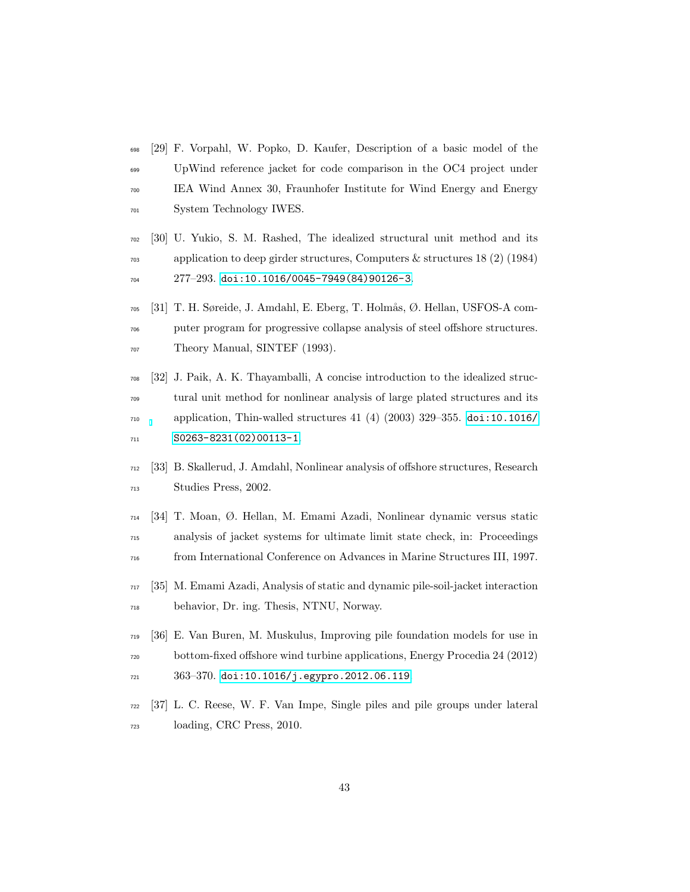- <span id="page-42-0"></span> [29] F. Vorpahl, W. Popko, D. Kaufer, Description of a basic model of the UpWind reference jacket for code comparison in the OC4 project under IEA Wind Annex 30, Fraunhofer Institute for Wind Energy and Energy System Technology IWES.
- <span id="page-42-1"></span> [30] U. Yukio, S. M. Rashed, The idealized structural unit method and its application to deep girder structures, Computers & structures 18 (2) (1984) 277–293. [doi:10.1016/0045-7949\(84\)90126-3](http://dx.doi.org/10.1016/0045-7949(84)90126-3).
- <span id="page-42-2"></span> $_{705}$  [31] T. H. Søreide, J. Amdahl, E. Eberg, T. Holmås, Ø. Hellan, USFOS-A com- puter program for progressive collapse analysis of steel offshore structures. Theory Manual, SINTEF (1993).
- <span id="page-42-3"></span> [32] J. Paik, A. K. Thayamballi, A concise introduction to the idealized struc- tural unit method for nonlinear analysis of large plated structures and its application, Thin-walled structures 41 (4) (2003) 329–355. [doi:10.1016/](http://dx.doi.org/10.1016/S0263-8231(02)00113-1) [S0263-8231\(02\)00113-1](http://dx.doi.org/10.1016/S0263-8231(02)00113-1).
- <span id="page-42-4"></span> [33] B. Skallerud, J. Amdahl, Nonlinear analysis of offshore structures, Research Studies Press, 2002.
- <span id="page-42-5"></span> [34] T. Moan, Ø. Hellan, M. Emami Azadi, Nonlinear dynamic versus static analysis of jacket systems for ultimate limit state check, in: Proceedings from International Conference on Advances in Marine Structures III, 1997.
- <span id="page-42-6"></span> [35] M. Emami Azadi, Analysis of static and dynamic pile-soil-jacket interaction behavior, Dr. ing. Thesis, NTNU, Norway.
- <span id="page-42-7"></span> [36] E. Van Buren, M. Muskulus, Improving pile foundation models for use in bottom-fixed offshore wind turbine applications, Energy Procedia 24 (2012) 363–370. [doi:10.1016/j.egypro.2012.06.119](http://dx.doi.org/10.1016/j.egypro.2012.06.119).
- <span id="page-42-8"></span> [37] L. C. Reese, W. F. Van Impe, Single piles and pile groups under lateral loading, CRC Press, 2010.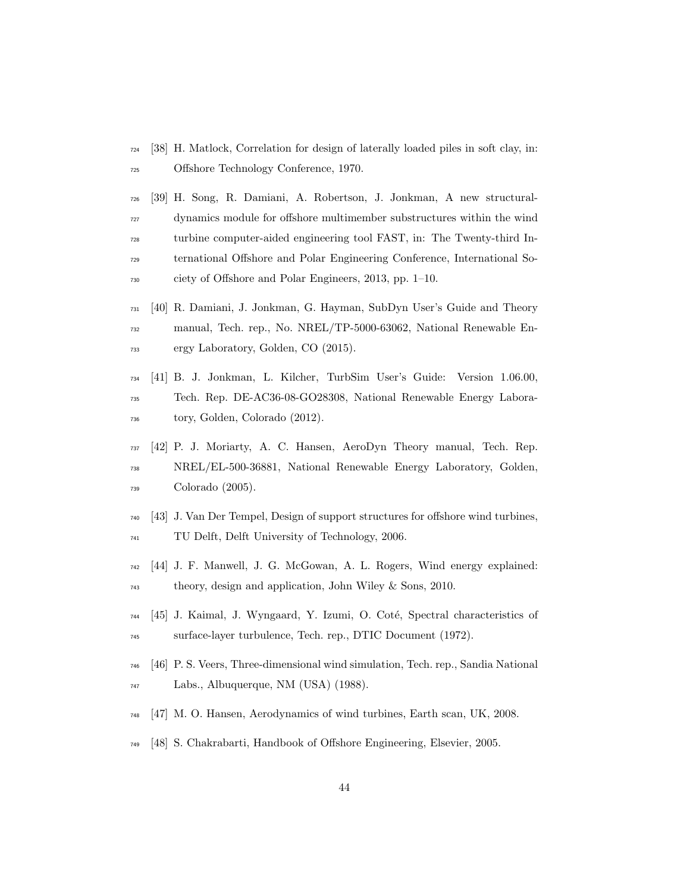- <span id="page-43-0"></span> [38] H. Matlock, Correlation for design of laterally loaded piles in soft clay, in: Offshore Technology Conference, 1970.
- <span id="page-43-1"></span> [39] H. Song, R. Damiani, A. Robertson, J. Jonkman, A new structural- dynamics module for offshore multimember substructures within the wind turbine computer-aided engineering tool FAST, in: The Twenty-third In- ternational Offshore and Polar Engineering Conference, International So-ciety of Offshore and Polar Engineers, 2013, pp. 1–10.
- <span id="page-43-2"></span> [40] R. Damiani, J. Jonkman, G. Hayman, SubDyn User's Guide and Theory manual, Tech. rep., No. NREL/TP-5000-63062, National Renewable En-ergy Laboratory, Golden, CO (2015).
- <span id="page-43-3"></span> [41] B. J. Jonkman, L. Kilcher, TurbSim User's Guide: Version 1.06.00, Tech. Rep. DE-AC36-08-GO28308, National Renewable Energy Labora-tory, Golden, Colorado (2012).
- <span id="page-43-4"></span> [42] P. J. Moriarty, A. C. Hansen, AeroDyn Theory manual, Tech. Rep. NREL/EL-500-36881, National Renewable Energy Laboratory, Golden, Colorado (2005).
- <span id="page-43-5"></span> [43] J. Van Der Tempel, Design of support structures for offshore wind turbines, TU Delft, Delft University of Technology, 2006.
- <span id="page-43-6"></span> [44] J. F. Manwell, J. G. McGowan, A. L. Rogers, Wind energy explained: theory, design and application, John Wiley & Sons, 2010.
- <span id="page-43-7"></span> $_{744}$  [45] J. Kaimal, J. Wyngaard, Y. Izumi, O. Coté, Spectral characteristics of surface-layer turbulence, Tech. rep., DTIC Document (1972).
- <span id="page-43-8"></span> [46] P. S. Veers, Three-dimensional wind simulation, Tech. rep., Sandia National Labs., Albuquerque, NM (USA) (1988).
- <span id="page-43-9"></span>[47] M. O. Hansen, Aerodynamics of wind turbines, Earth scan, UK, 2008.
- <span id="page-43-10"></span>[48] S. Chakrabarti, Handbook of Offshore Engineering, Elsevier, 2005.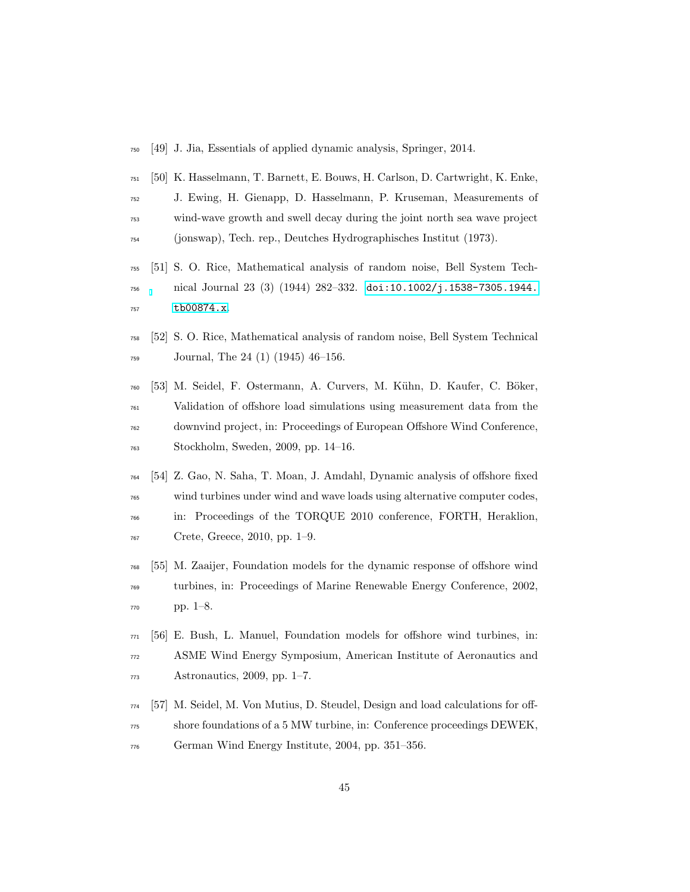- <span id="page-44-0"></span>[49] J. Jia, Essentials of applied dynamic analysis, Springer, 2014.
- <span id="page-44-1"></span> [50] K. Hasselmann, T. Barnett, E. Bouws, H. Carlson, D. Cartwright, K. Enke, J. Ewing, H. Gienapp, D. Hasselmann, P. Kruseman, Measurements of wind-wave growth and swell decay during the joint north sea wave project (jonswap), Tech. rep., Deutches Hydrographisches Institut (1973).
- <span id="page-44-2"></span> [51] S. O. Rice, Mathematical analysis of random noise, Bell System Tech- nical Journal 23 (3) (1944) 282–332. [doi:10.1002/j.1538-7305.1944.](http://dx.doi.org/10.1002/j.1538-7305.1944.tb00874.x) [tb00874.x](http://dx.doi.org/10.1002/j.1538-7305.1944.tb00874.x).
- <span id="page-44-3"></span> [52] S. O. Rice, Mathematical analysis of random noise, Bell System Technical Journal, The 24 (1) (1945) 46–156.
- <span id="page-44-4"></span> [53] M. Seidel, F. Ostermann, A. Curvers, M. K¨uhn, D. Kaufer, C. B¨oker, Validation of offshore load simulations using measurement data from the downvind project, in: Proceedings of European Offshore Wind Conference, Stockholm, Sweden, 2009, pp. 14–16.
- <span id="page-44-5"></span> [54] Z. Gao, N. Saha, T. Moan, J. Amdahl, Dynamic analysis of offshore fixed wind turbines under wind and wave loads using alternative computer codes, in: Proceedings of the TORQUE 2010 conference, FORTH, Heraklion, Crete, Greece, 2010, pp. 1–9.
- <span id="page-44-6"></span> [55] M. Zaaijer, Foundation models for the dynamic response of offshore wind turbines, in: Proceedings of Marine Renewable Energy Conference, 2002, pp. 1–8.
- <span id="page-44-7"></span> [56] E. Bush, L. Manuel, Foundation models for offshore wind turbines, in: ASME Wind Energy Symposium, American Institute of Aeronautics and Astronautics, 2009, pp. 1–7.
- <span id="page-44-8"></span> [57] M. Seidel, M. Von Mutius, D. Steudel, Design and load calculations for off- shore foundations of a 5 MW turbine, in: Conference proceedings DEWEK, German Wind Energy Institute, 2004, pp. 351–356.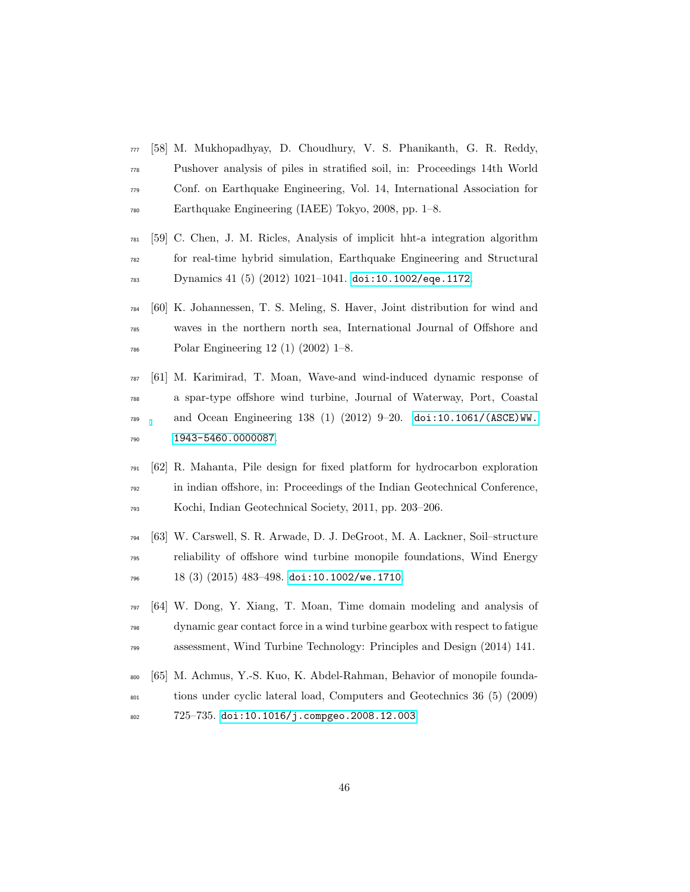- <span id="page-45-0"></span> [58] M. Mukhopadhyay, D. Choudhury, V. S. Phanikanth, G. R. Reddy, Pushover analysis of piles in stratified soil, in: Proceedings 14th World Conf. on Earthquake Engineering, Vol. 14, International Association for Earthquake Engineering (IAEE) Tokyo, 2008, pp. 1–8.
- <span id="page-45-1"></span> [59] C. Chen, J. M. Ricles, Analysis of implicit hht-a integration algorithm for real-time hybrid simulation, Earthquake Engineering and Structural Dynamics 41 (5) (2012) 1021–1041. [doi:10.1002/eqe.1172](http://dx.doi.org/10.1002/eqe.1172).
- <span id="page-45-2"></span> [60] K. Johannessen, T. S. Meling, S. Haver, Joint distribution for wind and waves in the northern north sea, International Journal of Offshore and Polar Engineering 12 (1) (2002) 1–8.
- <span id="page-45-3"></span> [61] M. Karimirad, T. Moan, Wave-and wind-induced dynamic response of a spar-type offshore wind turbine, Journal of Waterway, Port, Coastal and Ocean Engineering 138 (1) (2012) 9–20. [doi:10.1061/\(ASCE\)WW.](http://dx.doi.org/10.1061/(ASCE)WW.1943-5460.0000087) [1943-5460.0000087](http://dx.doi.org/10.1061/(ASCE)WW.1943-5460.0000087).
- <span id="page-45-4"></span> [62] R. Mahanta, Pile design for fixed platform for hydrocarbon exploration in indian offshore, in: Proceedings of the Indian Geotechnical Conference, Kochi, Indian Geotechnical Society, 2011, pp. 203–206.
- <span id="page-45-5"></span> [63] W. Carswell, S. R. Arwade, D. J. DeGroot, M. A. Lackner, Soil–structure reliability of offshore wind turbine monopile foundations, Wind Energy 18 (3) (2015) 483-498. [doi:10.1002/we.1710](http://dx.doi.org/10.1002/we.1710).
- <span id="page-45-6"></span> [64] W. Dong, Y. Xiang, T. Moan, Time domain modeling and analysis of dynamic gear contact force in a wind turbine gearbox with respect to fatigue assessment, Wind Turbine Technology: Principles and Design (2014) 141.
- <span id="page-45-7"></span> [65] M. Achmus, Y.-S. Kuo, K. Abdel-Rahman, Behavior of monopile founda- tions under cyclic lateral load, Computers and Geotechnics 36 (5) (2009) 725–735. [doi:10.1016/j.compgeo.2008.12.003](http://dx.doi.org/10.1016/j.compgeo.2008.12.003).